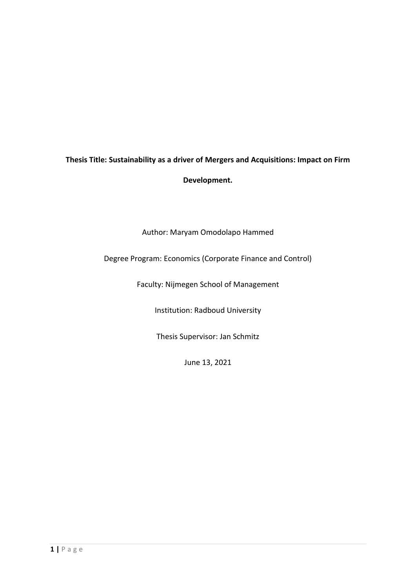# **Thesis Title: Sustainability as a driver of Mergers and Acquisitions: Impact on Firm**

**Development.**

Author: Maryam Omodolapo Hammed

# Degree Program: Economics (Corporate Finance and Control)

Faculty: Nijmegen School of Management

Institution: Radboud University

Thesis Supervisor: Jan Schmitz

June 13, 2021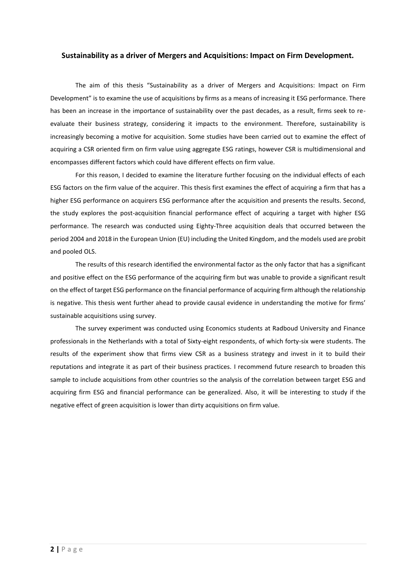## **Sustainability as a driver of Mergers and Acquisitions: Impact on Firm Development.**

The aim of this thesis "Sustainability as a driver of Mergers and Acquisitions: Impact on Firm Development" is to examine the use of acquisitions by firms as a means of increasing it ESG performance. There has been an increase in the importance of sustainability over the past decades, as a result, firms seek to reevaluate their business strategy, considering it impacts to the environment. Therefore, sustainability is increasingly becoming a motive for acquisition. Some studies have been carried out to examine the effect of acquiring a CSR oriented firm on firm value using aggregate ESG ratings, however CSR is multidimensional and encompasses different factors which could have different effects on firm value.

For this reason, I decided to examine the literature further focusing on the individual effects of each ESG factors on the firm value of the acquirer. This thesis first examines the effect of acquiring a firm that has a higher ESG performance on acquirers ESG performance after the acquisition and presents the results. Second, the study explores the post-acquisition financial performance effect of acquiring a target with higher ESG performance. The research was conducted using Eighty-Three acquisition deals that occurred between the period 2004 and 2018 in the European Union (EU) including the United Kingdom, and the models used are probit and pooled OLS.

The results of this research identified the environmental factor as the only factor that has a significant and positive effect on the ESG performance of the acquiring firm but was unable to provide a significant result on the effect of target ESG performance on the financial performance of acquiring firm although the relationship is negative. This thesis went further ahead to provide causal evidence in understanding the motive for firms' sustainable acquisitions using survey.

The survey experiment was conducted using Economics students at Radboud University and Finance professionals in the Netherlands with a total of Sixty-eight respondents, of which forty-six were students. The results of the experiment show that firms view CSR as a business strategy and invest in it to build their reputations and integrate it as part of their business practices. I recommend future research to broaden this sample to include acquisitions from other countries so the analysis of the correlation between target ESG and acquiring firm ESG and financial performance can be generalized. Also, it will be interesting to study if the negative effect of green acquisition is lower than dirty acquisitions on firm value.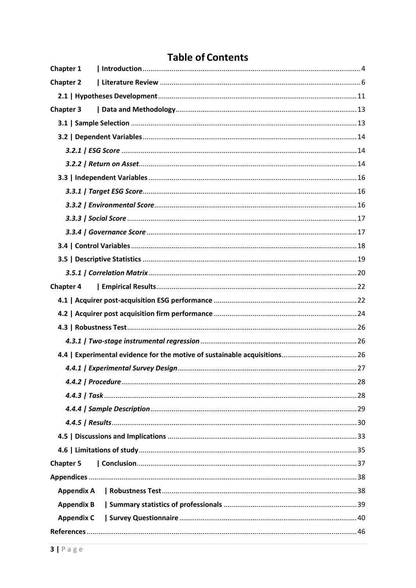# **Table of Contents**

| <b>Appendix A</b><br><b>Appendix B</b><br><b>Appendix C</b> | Chapter 1        |  |
|-------------------------------------------------------------|------------------|--|
|                                                             | <b>Chapter 2</b> |  |
|                                                             |                  |  |
|                                                             | <b>Chapter 3</b> |  |
|                                                             |                  |  |
|                                                             |                  |  |
|                                                             |                  |  |
|                                                             |                  |  |
|                                                             |                  |  |
|                                                             |                  |  |
|                                                             |                  |  |
|                                                             |                  |  |
|                                                             |                  |  |
|                                                             |                  |  |
|                                                             |                  |  |
|                                                             |                  |  |
|                                                             | <b>Chapter 4</b> |  |
|                                                             |                  |  |
|                                                             |                  |  |
|                                                             |                  |  |
|                                                             |                  |  |
|                                                             |                  |  |
|                                                             |                  |  |
|                                                             |                  |  |
|                                                             |                  |  |
|                                                             |                  |  |
|                                                             |                  |  |
|                                                             |                  |  |
|                                                             |                  |  |
|                                                             | <b>Chapter 5</b> |  |
|                                                             |                  |  |
|                                                             |                  |  |
|                                                             |                  |  |
|                                                             |                  |  |
|                                                             |                  |  |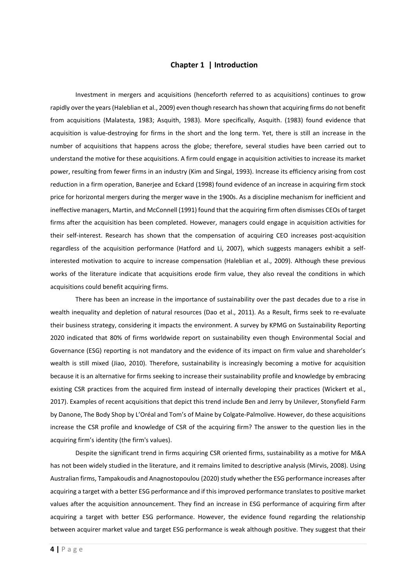# **Chapter 1 | Introduction**

<span id="page-3-0"></span>Investment in mergers and acquisitions (henceforth referred to as acquisitions) continues to grow rapidly over the years (Haleblian et al., 2009) even though research has shown that acquiring firms do not benefit from acquisitions (Malatesta, 1983; Asquith, 1983). More specifically, Asquith. (1983) found evidence that acquisition is value-destroying for firms in the short and the long term. Yet, there is still an increase in the number of acquisitions that happens across the globe; therefore, several studies have been carried out to understand the motive for these acquisitions. A firm could engage in acquisition activities to increase its market power, resulting from fewer firms in an industry (Kim and Singal, 1993). Increase its efficiency arising from cost reduction in a firm operation, Banerjee and Eckard (1998) found evidence of an increase in acquiring firm stock price for horizontal mergers during the merger wave in the 1900s. As a discipline mechanism for inefficient and ineffective managers, Martin, and McConnell (1991) found that the acquiring firm often dismisses CEOs of target firms after the acquisition has been completed. However, managers could engage in acquisition activities for their self-interest. Research has shown that the compensation of acquiring CEO increases post-acquisition regardless of the acquisition performance (Hatford and Li, 2007), which suggests managers exhibit a selfinterested motivation to acquire to increase compensation (Haleblian et al., 2009). Although these previous works of the literature indicate that acquisitions erode firm value, they also reveal the conditions in which acquisitions could benefit acquiring firms.

There has been an increase in the importance of sustainability over the past decades due to a rise in wealth inequality and depletion of natural resources (Dao et al., 2011). As a Result, firms seek to re-evaluate their business strategy, considering it impacts the environment. A survey by KPMG on Sustainability Reporting 2020 indicated that 80% of firms worldwide report on sustainability even though Environmental Social and Governance (ESG) reporting is not mandatory and the evidence of its impact on firm value and shareholder's wealth is still mixed (Jiao, 2010). Therefore, sustainability is increasingly becoming a motive for acquisition because it is an alternative for firms seeking to increase their sustainability profile and knowledge by embracing existing CSR practices from the acquired firm instead of internally developing their practices (Wickert et al., 2017). Examples of recent acquisitions that depict this trend include Ben and Jerry by Unilever, Stonyfield Farm by Danone, The Body Shop by L'Oréal and Tom's of Maine by Colgate-Palmolive. However, do these acquisitions increase the CSR profile and knowledge of CSR of the acquiring firm? The answer to the question lies in the acquiring firm's identity (the firm's values).

Despite the significant trend in firms acquiring CSR oriented firms, sustainability as a motive for M&A has not been widely studied in the literature, and it remains limited to descriptive analysis (Mirvis, 2008). Using Australian firms, Tampakoudis and Anagnostopoulou (2020) study whether the ESG performance increases after acquiring a target with a better ESG performance and if this improved performance translates to positive market values after the acquisition announcement. They find an increase in ESG performance of acquiring firm after acquiring a target with better ESG performance. However, the evidence found regarding the relationship between acquirer market value and target ESG performance is weak although positive. They suggest that their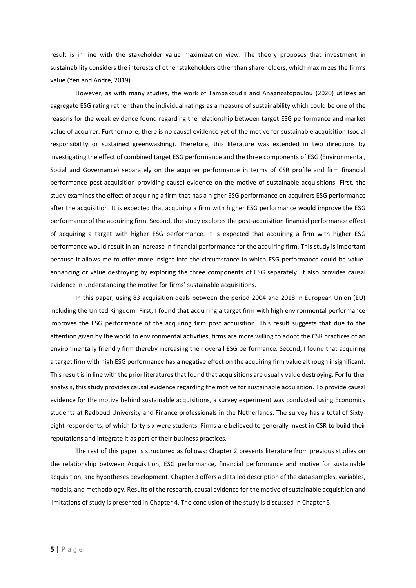result is in line with the stakeholder value maximization view. The theory proposes that investment in sustainability considers the interests of other stakeholders other than shareholders, which maximizes the firm's value (Yen and Andre, 2019).

However, as with many studies, the work of Tampakoudis and Anagnostopoulou (2020) utilizes an aggregate ESG rating rather than the individual ratings as a measure of sustainability which could be one of the reasons for the weak evidence found regarding the relationship between target ESG performance and market value of acquirer. Furthermore, there is no causal evidence yet of the motive for sustainable acquisition (social responsibility or sustained greenwashing). Therefore, this literature was extended in two directions by investigating the effect of combined target ESG performance and the three components of ESG (Environmental, Social and Governance) separately on the acquirer performance in terms of CSR profile and firm financial performance post-acquisition providing causal evidence on the motive of sustainable acquisitions. First, the study examines the effect of acquiring a firm that has a higher ESG performance on acquirers ESG performance after the acquisition. It is expected that acquiring a firm with higher ESG performance would improve the ESG performance of the acquiring firm. Second, the study explores the post-acquisition financial performance effect of acquiring a target with higher ESG performance. It is expected that acquiring a firm with higher ESG performance would result in an increase in financial performance for the acquiring firm. This study is important because it allows me to offer more insight into the circumstance in which ESG performance could be valueenhancing or value destroying by exploring the three components of ESG separately. It also provides causal evidence in understanding the motive for firms' sustainable acquisitions.

In this paper, using 83 acquisition deals between the period 2004 and 2018 in European Union (EU) including the United Kingdom. First, I found that acquiring a target firm with high environmental performance improves the ESG performance of the acquiring firm post acquisition. This result suggests that due to the attention given by the world to environmental activities, firms are more willing to adopt the CSR practices of an environmentally friendly firm thereby increasing their overall ESG performance. Second, I found that acquiring a target firm with high ESG performance has a negative effect on the acquiring firm value although insignificant. This result is in line with the prior literatures that found that acquisitions are usually value destroying. For further analysis, this study provides causal evidence regarding the motive for sustainable acquisition. To provide causal evidence for the motive behind sustainable acquisitions, a survey experiment was conducted using Economics students at Radboud University and Finance professionals in the Netherlands. The survey has a total of Sixtyeight respondents, of which forty-six were students. Firms are believed to generally invest in CSR to build their reputations and integrate it as part of their business practices.

The rest of this paper is structured as follows: [Chapter 2](#page-5-0) presents literature from previous studies on the relationship between Acquisition, ESG performance, financial performance and motive for sustainable acquisition, and hypotheses development. [Chapter 3](#page-12-0) offers a detailed description of the data samples, variables, models, and methodology. Results of the research, causal evidence for the motive of sustainable acquisition and limitations of study is presented i[n Chapter 4.](#page-21-0) The conclusion of the study is discussed i[n Chapter 5.](#page-36-0)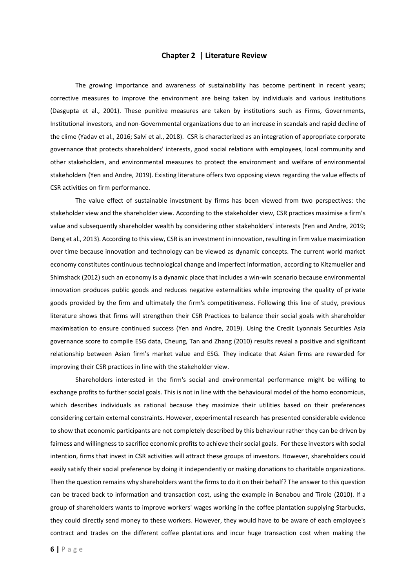## **Chapter 2 | Literature Review**

<span id="page-5-0"></span>The growing importance and awareness of sustainability has become pertinent in recent years; corrective measures to improve the environment are being taken by individuals and various institutions (Dasgupta et al., 2001). These punitive measures are taken by institutions such as Firms, Governments, Institutional investors, and non-Governmental organizations due to an increase in scandals and rapid decline of the clime (Yadav et al., 2016; Salvi et al., 2018). CSR is characterized as an integration of appropriate corporate governance that protects shareholders' interests, good social relations with employees, local community and other stakeholders, and environmental measures to protect the environment and welfare of environmental stakeholders (Yen and Andre, 2019). Existing literature offers two opposing views regarding the value effects of CSR activities on firm performance.

The value effect of sustainable investment by firms has been viewed from two perspectives: the stakeholder view and the shareholder view. According to the stakeholder view, CSR practices maximise a firm's value and subsequently shareholder wealth by considering other stakeholders' interests (Yen and Andre, 2019; Deng et al., 2013). According to this view, CSR is an investment in innovation, resulting in firm value maximization over time because innovation and technology can be viewed as dynamic concepts. The current world market economy constitutes continuous technological change and imperfect information, according to Kitzmueller and Shimshack (2012) such an economy is a dynamic place that includes a win-win scenario because environmental innovation produces public goods and reduces negative externalities while improving the quality of private goods provided by the firm and ultimately the firm's competitiveness. Following this line of study, previous literature shows that firms will strengthen their CSR Practices to balance their social goals with shareholder maximisation to ensure continued success (Yen and Andre, 2019). Using the Credit Lyonnais Securities Asia governance score to compile ESG data, Cheung, Tan and Zhang (2010) results reveal a positive and significant relationship between Asian firm's market value and ESG. They indicate that Asian firms are rewarded for improving their CSR practices in line with the stakeholder view.

Shareholders interested in the firm's social and environmental performance might be willing to exchange profits to further social goals. This is not in line with the behavioural model of the homo economicus, which describes individuals as rational because they maximize their utilities based on their preferences considering certain external constraints. However, experimental research has presented considerable evidence to show that economic participants are not completely described by this behaviour rather they can be driven by fairness and willingness to sacrifice economic profits to achieve their social goals. For these investors with social intention, firms that invest in CSR activities will attract these groups of investors. However, shareholders could easily satisfy their social preference by doing it independently or making donations to charitable organizations. Then the question remains why shareholders want the firms to do it on their behalf? The answer to this question can be traced back to information and transaction cost, using the example in Benabou and Tirole (2010). If a group of shareholders wants to improve workers' wages working in the coffee plantation supplying Starbucks, they could directly send money to these workers. However, they would have to be aware of each employee's contract and trades on the different coffee plantations and incur huge transaction cost when making the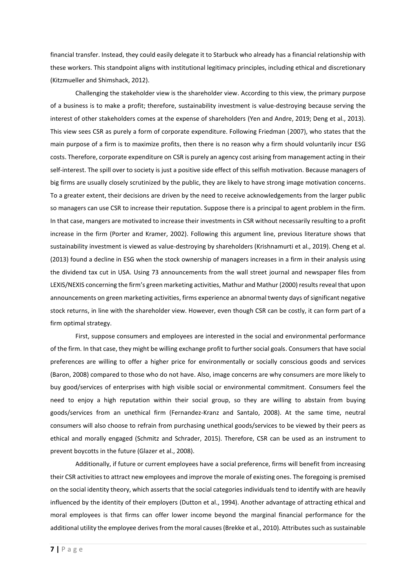financial transfer. Instead, they could easily delegate it to Starbuck who already has a financial relationship with these workers. This standpoint aligns with institutional legitimacy principles, including ethical and discretionary (Kitzmueller and Shimshack, 2012).

Challenging the stakeholder view is the shareholder view. According to this view, the primary purpose of a business is to make a profit; therefore, sustainability investment is value-destroying because serving the interest of other stakeholders comes at the expense of shareholders (Yen and Andre, 2019; Deng et al., 2013). This view sees CSR as purely a form of corporate expenditure. Following Friedman (2007), who states that the main purpose of a firm is to maximize profits, then there is no reason why a firm should voluntarily incur ESG costs. Therefore, corporate expenditure on CSR is purely an agency cost arising from management acting in their self-interest. The spill over to society is just a positive side effect of this selfish motivation. Because managers of big firms are usually closely scrutinized by the public, they are likely to have strong image motivation concerns. To a greater extent, their decisions are driven by the need to receive acknowledgements from the larger public so managers can use CSR to increase their reputation. Suppose there is a principal to agent problem in the firm. In that case, mangers are motivated to increase their investments in CSR without necessarily resulting to a profit increase in the firm (Porter and Kramer, 2002). Following this argument line, previous literature shows that sustainability investment is viewed as value-destroying by shareholders (Krishnamurti et al., 2019). Cheng et al. (2013) found a decline in ESG when the stock ownership of managers increases in a firm in their analysis using the dividend tax cut in USA. Using 73 announcements from the wall street journal and newspaper files from LEXIS/NEXIS concerning the firm's green marketing activities, Mathur and Mathur (2000) results reveal that upon announcements on green marketing activities, firms experience an abnormal twenty days of significant negative stock returns, in line with the shareholder view. However, even though CSR can be costly, it can form part of a firm optimal strategy.

First, suppose consumers and employees are interested in the social and environmental performance of the firm. In that case, they might be willing exchange profit to further social goals. Consumers that have social preferences are willing to offer a higher price for environmentally or socially conscious goods and services (Baron, 2008) compared to those who do not have. Also, image concerns are why consumers are more likely to buy good/services of enterprises with high visible social or environmental commitment. Consumers feel the need to enjoy a high reputation within their social group, so they are willing to abstain from buying goods/services from an unethical firm (Fernandez-Kranz and Santalo, 2008). At the same time, neutral consumers will also choose to refrain from purchasing unethical goods/services to be viewed by their peers as ethical and morally engaged (Schmitz and Schrader, 2015). Therefore, CSR can be used as an instrument to prevent boycotts in the future (Glazer et al., 2008).

Additionally, if future or current employees have a social preference, firms will benefit from increasing their CSR activities to attract new employees and improve the morale of existing ones. The foregoing is premised on the social identity theory, which asserts that the social categories individuals tend to identify with are heavily influenced by the identity of their employers (Dutton et al., 1994). Another advantage of attracting ethical and moral employees is that firms can offer lower income beyond the marginal financial performance for the additional utility the employee derives from the moral causes (Brekke et al., 2010). Attributes such as sustainable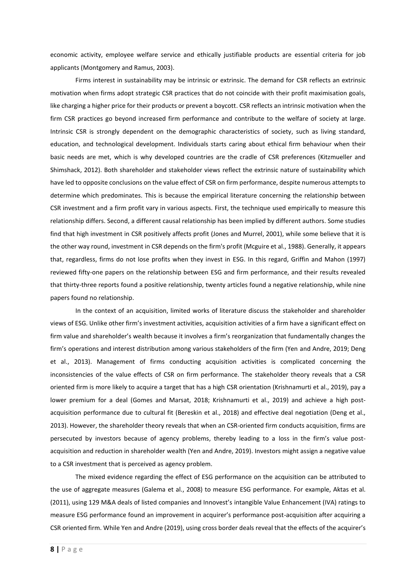economic activity, employee welfare service and ethically justifiable products are essential criteria for job applicants (Montgomery and Ramus, 2003).

Firms interest in sustainability may be intrinsic or extrinsic. The demand for CSR reflects an extrinsic motivation when firms adopt strategic CSR practices that do not coincide with their profit maximisation goals, like charging a higher price for their products or prevent a boycott. CSR reflects an intrinsic motivation when the firm CSR practices go beyond increased firm performance and contribute to the welfare of society at large. Intrinsic CSR is strongly dependent on the demographic characteristics of society, such as living standard, education, and technological development. Individuals starts caring about ethical firm behaviour when their basic needs are met, which is why developed countries are the cradle of CSR preferences (Kitzmueller and Shimshack, 2012). Both shareholder and stakeholder views reflect the extrinsic nature of sustainability which have led to opposite conclusions on the value effect of CSR on firm performance, despite numerous attempts to determine which predominates. This is because the empirical literature concerning the relationship between CSR investment and a firm profit vary in various aspects. First, the technique used empirically to measure this relationship differs. Second, a different causal relationship has been implied by different authors. Some studies find that high investment in CSR positively affects profit (Jones and Murrel, 2001), while some believe that it is the other way round, investment in CSR depends on the firm's profit (Mcguire et al., 1988). Generally, it appears that, regardless, firms do not lose profits when they invest in ESG. In this regard, Griffin and Mahon (1997) reviewed fifty-one papers on the relationship between ESG and firm performance, and their results revealed that thirty-three reports found a positive relationship, twenty articles found a negative relationship, while nine papers found no relationship.

In the context of an acquisition, limited works of literature discuss the stakeholder and shareholder views of ESG. Unlike other firm's investment activities, acquisition activities of a firm have a significant effect on firm value and shareholder's wealth because it involves a firm's reorganization that fundamentally changes the firm's operations and interest distribution among various stakeholders of the firm (Yen and Andre, 2019; Deng et al., 2013). Management of firms conducting acquisition activities is complicated concerning the inconsistencies of the value effects of CSR on firm performance. The stakeholder theory reveals that a CSR oriented firm is more likely to acquire a target that has a high CSR orientation (Krishnamurti et al., 2019), pay a lower premium for a deal (Gomes and Marsat, 2018; Krishnamurti et al., 2019) and achieve a high postacquisition performance due to cultural fit (Bereskin et al., 2018) and effective deal negotiation (Deng et al., 2013). However, the shareholder theory reveals that when an CSR-oriented firm conducts acquisition, firms are persecuted by investors because of agency problems, thereby leading to a loss in the firm's value postacquisition and reduction in shareholder wealth (Yen and Andre, 2019). Investors might assign a negative value to a CSR investment that is perceived as agency problem.

The mixed evidence regarding the effect of ESG performance on the acquisition can be attributed to the use of aggregate measures (Galema et al., 2008) to measure ESG performance. For example, Aktas et al. (2011), using 129 M&A deals of listed companies and Innovest's intangible Value Enhancement (IVA) ratings to measure ESG performance found an improvement in acquirer's performance post-acquisition after acquiring a CSR oriented firm. While Yen and Andre (2019), using cross border deals reveal that the effects of the acquirer's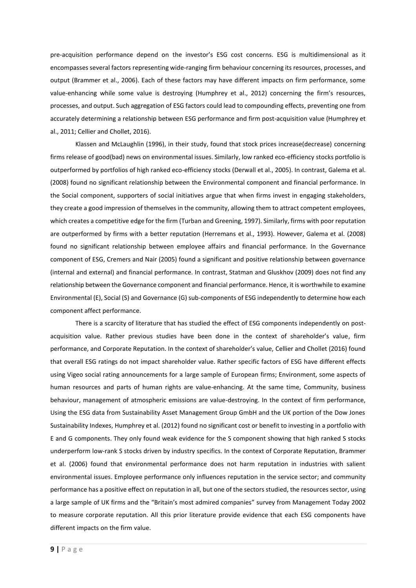pre-acquisition performance depend on the investor's ESG cost concerns. ESG is multidimensional as it encompasses several factors representing wide-ranging firm behaviour concerning its resources, processes, and output (Brammer et al., 2006). Each of these factors may have different impacts on firm performance, some value-enhancing while some value is destroying (Humphrey et al., 2012) concerning the firm's resources, processes, and output. Such aggregation of ESG factors could lead to compounding effects, preventing one from accurately determining a relationship between ESG performance and firm post-acquisition value (Humphrey et al., 2011; Cellier and Chollet, 2016).

Klassen and McLaughlin (1996), in their study, found that stock prices increase(decrease) concerning firms release of good(bad) news on environmental issues. Similarly, low ranked eco-efficiency stocks portfolio is outperformed by portfolios of high ranked eco-efficiency stocks (Derwall et al., 2005). In contrast, Galema et al. (2008) found no significant relationship between the Environmental component and financial performance. In the Social component, supporters of social initiatives argue that when firms invest in engaging stakeholders, they create a good impression of themselves in the community, allowing them to attract competent employees, which creates a competitive edge for the firm (Turban and Greening, 1997). Similarly, firms with poor reputation are outperformed by firms with a better reputation (Herremans et al., 1993). However, Galema et al. (2008) found no significant relationship between employee affairs and financial performance. In the Governance component of ESG, Cremers and Nair (2005) found a significant and positive relationship between governance (internal and external) and financial performance. In contrast, Statman and Gluskhov (2009) does not find any relationship between the Governance component and financial performance. Hence, it is worthwhile to examine Environmental (E), Social (S) and Governance (G) sub-components of ESG independently to determine how each component affect performance.

There is a scarcity of literature that has studied the effect of ESG components independently on postacquisition value. Rather previous studies have been done in the context of shareholder's value, firm performance, and Corporate Reputation. In the context of shareholder's value, Cellier and Chollet (2016) found that overall ESG ratings do not impact shareholder value. Rather specific factors of ESG have different effects using Vigeo social rating announcements for a large sample of European firms; Environment, some aspects of human resources and parts of human rights are value-enhancing. At the same time, Community, business behaviour, management of atmospheric emissions are value-destroying. In the context of firm performance, Using the ESG data from Sustainability Asset Management Group GmbH and the UK portion of the Dow Jones Sustainability Indexes, Humphrey et al. (2012) found no significant cost or benefit to investing in a portfolio with E and G components. They only found weak evidence for the S component showing that high ranked S stocks underperform low-rank S stocks driven by industry specifics. In the context of Corporate Reputation, Brammer et al. (2006) found that environmental performance does not harm reputation in industries with salient environmental issues. Employee performance only influences reputation in the service sector; and community performance has a positive effect on reputation in all, but one of the sectors studied, the resources sector, using a large sample of UK firms and the "Britain's most admired companies" survey from Management Today 2002 to measure corporate reputation. All this prior literature provide evidence that each ESG components have different impacts on the firm value.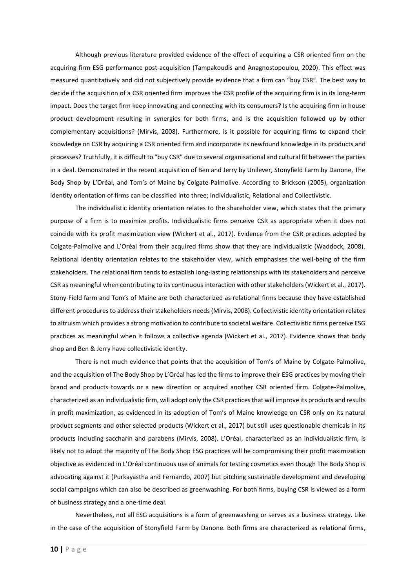Although previous literature provided evidence of the effect of acquiring a CSR oriented firm on the acquiring firm ESG performance post-acquisition (Tampakoudis and Anagnostopoulou, 2020). This effect was measured quantitatively and did not subjectively provide evidence that a firm can "buy CSR". The best way to decide if the acquisition of a CSR oriented firm improves the CSR profile of the acquiring firm is in its long-term impact. Does the target firm keep innovating and connecting with its consumers? Is the acquiring firm in house product development resulting in synergies for both firms, and is the acquisition followed up by other complementary acquisitions? (Mirvis, 2008). Furthermore, is it possible for acquiring firms to expand their knowledge on CSR by acquiring a CSR oriented firm and incorporate its newfound knowledge in its products and processes? Truthfully, it is difficult to "buy CSR" due to several organisational and cultural fit between the parties in a deal. Demonstrated in the recent acquisition of Ben and Jerry by Unilever, Stonyfield Farm by Danone, The Body Shop by L'Oréal, and Tom's of Maine by Colgate-Palmolive. According to Brickson (2005), organization identity orientation of firms can be classified into three; Individualistic, Relational and Collectivistic.

The individualistic identity orientation relates to the shareholder view, which states that the primary purpose of a firm is to maximize profits. Individualistic firms perceive CSR as appropriate when it does not coincide with its profit maximization view (Wickert et al., 2017). Evidence from the CSR practices adopted by Colgate-Palmolive and L'Oréal from their acquired firms show that they are individualistic (Waddock, 2008). Relational Identity orientation relates to the stakeholder view, which emphasises the well-being of the firm stakeholders. The relational firm tends to establish long-lasting relationships with its stakeholders and perceive CSR as meaningful when contributing to its continuous interaction with other stakeholders (Wickert et al., 2017). Stony-Field farm and Tom's of Maine are both characterized as relational firms because they have established different procedures to address their stakeholders needs (Mirvis, 2008). Collectivistic identity orientation relates to altruism which provides a strong motivation to contribute to societal welfare. Collectivistic firms perceive ESG practices as meaningful when it follows a collective agenda (Wickert et al., 2017). Evidence shows that body shop and Ben & Jerry have collectivistic identity.

There is not much evidence that points that the acquisition of Tom's of Maine by Colgate-Palmolive, and the acquisition of The Body Shop by L'Oréal has led the firms to improve their ESG practices by moving their brand and products towards or a new direction or acquired another CSR oriented firm. Colgate-Palmolive, characterized as an individualistic firm, will adopt only the CSR practices that will improve its products and results in profit maximization, as evidenced in its adoption of Tom's of Maine knowledge on CSR only on its natural product segments and other selected products (Wickert et al., 2017) but still uses questionable chemicals in its products including saccharin and parabens (Mirvis, 2008). L'Oréal, characterized as an individualistic firm, is likely not to adopt the majority of The Body Shop ESG practices will be compromising their profit maximization objective as evidenced in L'Oréal continuous use of animals for testing cosmetics even though The Body Shop is advocating against it (Purkayastha and Fernando, 2007) but pitching sustainable development and developing social campaigns which can also be described as greenwashing. For both firms, buying CSR is viewed as a form of business strategy and a one-time deal.

Nevertheless, not all ESG acquisitions is a form of greenwashing or serves as a business strategy. Like in the case of the acquisition of Stonyfield Farm by Danone. Both firms are characterized as relational firms,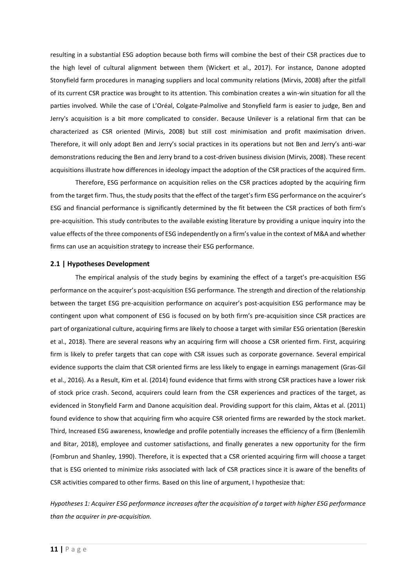resulting in a substantial ESG adoption because both firms will combine the best of their CSR practices due to the high level of cultural alignment between them (Wickert et al., 2017). For instance, Danone adopted Stonyfield farm procedures in managing suppliers and local community relations (Mirvis, 2008) after the pitfall of its current CSR practice was brought to its attention. This combination creates a win-win situation for all the parties involved. While the case of L'Oréal, Colgate-Palmolive and Stonyfield farm is easier to judge, Ben and Jerry's acquisition is a bit more complicated to consider. Because Unilever is a relational firm that can be characterized as CSR oriented (Mirvis, 2008) but still cost minimisation and profit maximisation driven. Therefore, it will only adopt Ben and Jerry's social practices in its operations but not Ben and Jerry's anti-war demonstrations reducing the Ben and Jerry brand to a cost-driven business division (Mirvis, 2008). These recent acquisitions illustrate how differences in ideology impact the adoption of the CSR practices of the acquired firm.

Therefore, ESG performance on acquisition relies on the CSR practices adopted by the acquiring firm from the target firm. Thus, the study posits that the effect of the target's firm ESG performance on the acquirer's ESG and financial performance is significantly determined by the fit between the CSR practices of both firm's pre-acquisition. This study contributes to the available existing literature by providing a unique inquiry into the value effects of the three components of ESG independently on a firm's value in the context of M&A and whether firms can use an acquisition strategy to increase their ESG performance.

# <span id="page-10-0"></span>**2.1 | Hypotheses Development**

The empirical analysis of the study begins by examining the effect of a target's pre-acquisition ESG performance on the acquirer's post-acquisition ESG performance. The strength and direction of the relationship between the target ESG pre-acquisition performance on acquirer's post-acquisition ESG performance may be contingent upon what component of ESG is focused on by both firm's pre-acquisition since CSR practices are part of organizational culture, acquiring firms are likely to choose a target with similar ESG orientation (Bereskin et al., 2018). There are several reasons why an acquiring firm will choose a CSR oriented firm. First, acquiring firm is likely to prefer targets that can cope with CSR issues such as corporate governance. Several empirical evidence supports the claim that CSR oriented firms are less likely to engage in earnings management (Gras-Gil et al., 2016). As a Result, Kim et al. (2014) found evidence that firms with strong CSR practices have a lower risk of stock price crash. Second, acquirers could learn from the CSR experiences and practices of the target, as evidenced in Stonyfield Farm and Danone acquisition deal. Providing support for this claim, Aktas et al. (2011) found evidence to show that acquiring firm who acquire CSR oriented firms are rewarded by the stock market. Third, Increased ESG awareness, knowledge and profile potentially increases the efficiency of a firm (Benlemlih and Bitar, 2018), employee and customer satisfactions, and finally generates a new opportunity for the firm (Fombrun and Shanley, 1990). Therefore, it is expected that a CSR oriented acquiring firm will choose a target that is ESG oriented to minimize risks associated with lack of CSR practices since it is aware of the benefits of CSR activities compared to other firms. Based on this line of argument, I hypothesize that:

*Hypotheses 1: Acquirer ESG performance increases after the acquisition of a target with higher ESG performance than the acquirer in pre-acquisition.*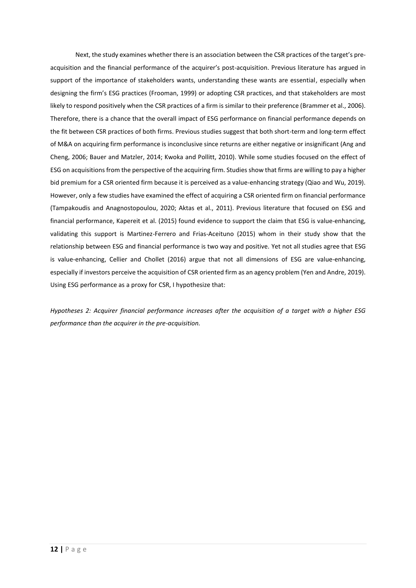Next, the study examines whether there is an association between the CSR practices of the target's preacquisition and the financial performance of the acquirer's post-acquisition. Previous literature has argued in support of the importance of stakeholders wants, understanding these wants are essential, especially when designing the firm's ESG practices (Frooman, 1999) or adopting CSR practices, and that stakeholders are most likely to respond positively when the CSR practices of a firm is similar to their preference (Brammer et al., 2006). Therefore, there is a chance that the overall impact of ESG performance on financial performance depends on the fit between CSR practices of both firms. Previous studies suggest that both short-term and long-term effect of M&A on acquiring firm performance is inconclusive since returns are either negative or insignificant (Ang and Cheng, 2006; Bauer and Matzler, 2014; Kwoka and Pollitt, 2010). While some studies focused on the effect of ESG on acquisitions from the perspective of the acquiring firm. Studies show that firms are willing to pay a higher bid premium for a CSR oriented firm because it is perceived as a value-enhancing strategy (Qiao and Wu, 2019). However, only a few studies have examined the effect of acquiring a CSR oriented firm on financial performance (Tampakoudis and Anagnostopoulou, 2020; Aktas et al., 2011). Previous literature that focused on ESG and financial performance, Kapereit et al. (2015) found evidence to support the claim that ESG is value-enhancing, validating this support is Martinez-Ferrero and Frias-Aceituno (2015) whom in their study show that the relationship between ESG and financial performance is two way and positive. Yet not all studies agree that ESG is value-enhancing, Cellier and Chollet (2016) argue that not all dimensions of ESG are value-enhancing, especially if investors perceive the acquisition of CSR oriented firm as an agency problem (Yen and Andre, 2019). Using ESG performance as a proxy for CSR, I hypothesize that:

*Hypotheses 2: Acquirer financial performance increases after the acquisition of a target with a higher ESG performance than the acquirer in the pre-acquisition.*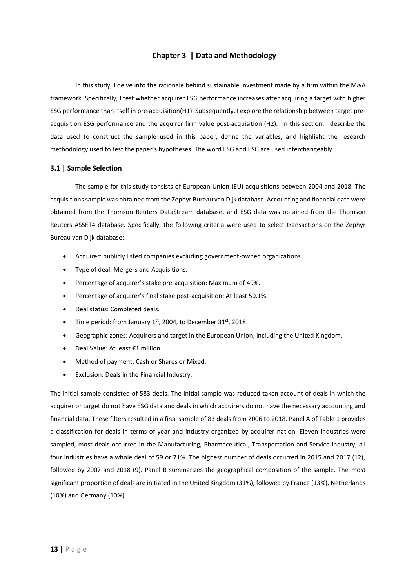# **Chapter 3 | Data and Methodology**

<span id="page-12-0"></span>In this study, I delve into the rationale behind sustainable investment made by a firm within the M&A framework. Specifically, I test whether acquirer ESG performance increases after acquiring a target with higher ESG performance than itself in pre-acquisition(H1). Subsequently, I explore the relationship between target preacquisition ESG performance and the acquirer firm value post-acquisition (H2). In this section, I describe the data used to construct the sample used in this paper, define the variables, and highlight the research methodology used to test the paper's hypotheses. The word ESG and ESG are used interchangeably.

#### <span id="page-12-1"></span>**3.1 | Sample Selection**

The sample for this study consists of European Union (EU) acquisitions between 2004 and 2018. The acquisitions sample was obtained from the Zephyr Bureau van Dijk database. Accounting and financial data were obtained from the Thomson Reuters DataStream database, and ESG data was obtained from the Thomson Reuters ASSET4 database. Specifically, the following criteria were used to select transactions on the Zephyr Bureau van Dijk database:

- Acquirer: publicly listed companies excluding government-owned organizations.
- Type of deal: Mergers and Acquisitions.
- Percentage of acquirer's stake pre-acquisition: Maximum of 49%.
- Percentage of acquirer's final stake post-acquisition: At least 50.1%.
- Deal status: Completed deals.
- Time period: from January  $1<sup>st</sup>$ , 2004, to December 31 $<sup>st</sup>$ , 2018.</sup>
- Geographic zones: Acquirers and target in the European Union, including the United Kingdom.
- Deal Value: At least €1 million.
- Method of payment: Cash or Shares or Mixed.
- Exclusion: Deals in the Financial Industry.

The initial sample consisted of 583 deals. The initial sample was reduced taken account of deals in which the acquirer or target do not have ESG data and deals in which acquirers do not have the necessary accounting and financial data. These filters resulted in a final sample of 83 deals from 2006 to 2018. Panel A of [Table 1](#page-14-0) provides a classification for deals in terms of year and industry organized by acquirer nation. Eleven Industries were sampled, most deals occurred in the Manufacturing, Pharmaceutical, Transportation and Service Industry, all four industries have a whole deal of 59 or 71%. The highest number of deals occurred in 2015 and 2017 (12), followed by 2007 and 2018 (9). Panel B summarizes the geographical composition of the sample. The most significant proportion of deals are initiated in the United Kingdom (31%), followed by France (13%), Netherlands (10%) and Germany (10%).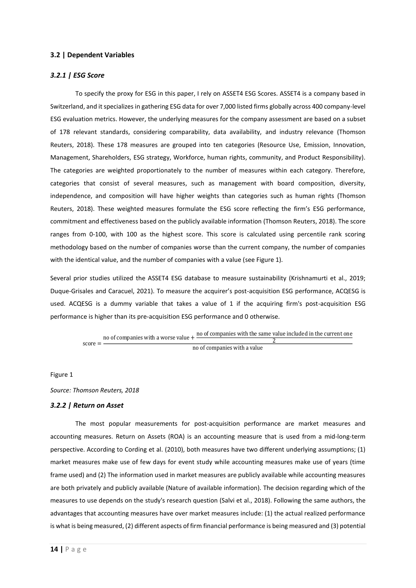### <span id="page-13-0"></span>**3.2 | Dependent Variables**

# <span id="page-13-1"></span>*3.2.1 | ESG Score*

To specify the proxy for ESG in this paper, I rely on ASSET4 ESG Scores. ASSET4 is a company based in Switzerland, and it specializes in gathering ESG data for over 7,000 listed firms globally across 400 company-level ESG evaluation metrics. However, the underlying measures for the company assessment are based on a subset of 178 relevant standards, considering comparability, data availability, and industry relevance (Thomson Reuters, 2018). These 178 measures are grouped into ten categories (Resource Use, Emission, Innovation, Management, Shareholders, ESG strategy, Workforce, human rights, community, and Product Responsibility). The categories are weighted proportionately to the number of measures within each category. Therefore, categories that consist of several measures, such as management with board composition, diversity, independence, and composition will have higher weights than categories such as human rights (Thomson Reuters, 2018). These weighted measures formulate the ESG score reflecting the firm's ESG performance, commitment and effectiveness based on the publicly available information (Thomson Reuters, 2018). The score ranges from 0-100, with 100 as the highest score. This score is calculated using percentile rank scoring methodology based on the number of companies worse than the current company, the number of companies with the identical value, and the number of companies with a value (see [Figure 1\)](#page-13-3).

Several prior studies utilized the ASSET4 ESG database to measure sustainability (Krishnamurti et al., 2019; Duque-Grisales and Caracuel, 2021). To measure the acquirer's post-acquisition ESG performance, ACQESG is used. ACQESG is a dummy variable that takes a value of 1 if the acquiring firm's post-acquisition ESG performance is higher than its pre-acquisition ESG performance and 0 otherwise.

> $score =$ no of companies with a worse value  $+\frac{1000}{2}$  of companies with the same value included in the current one 2 no of companies with <sup>a</sup> value

<span id="page-13-3"></span>Figure 1

*Source: Thomson Reuters, 2018*

#### <span id="page-13-2"></span>*3.2.2 | Return on Asset*

The most popular measurements for post-acquisition performance are market measures and accounting measures. Return on Assets (ROA) is an accounting measure that is used from a mid-long-term perspective. According to Cording et al. (2010), both measures have two different underlying assumptions; (1) market measures make use of few days for event study while accounting measures make use of years (time frame used) and (2) The information used in market measures are publicly available while accounting measures are both privately and publicly available (Nature of available information). The decision regarding which of the measures to use depends on the study's research question (Salvi et al., 2018). Following the same authors, the advantages that accounting measures have over market measures include: (1) the actual realized performance is what is being measured, (2) different aspects of firm financial performance is being measured and (3) potential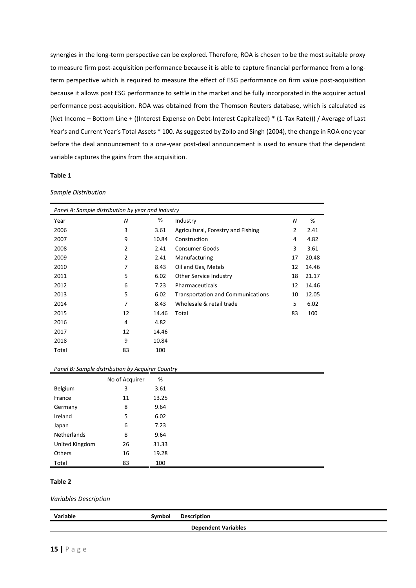synergies in the long-term perspective can be explored. Therefore, ROA is chosen to be the most suitable proxy to measure firm post-acquisition performance because it is able to capture financial performance from a longterm perspective which is required to measure the effect of ESG performance on firm value post-acquisition because it allows post ESG performance to settle in the market and be fully incorporated in the acquirer actual performance post-acquisition. ROA was obtained from the Thomson Reuters database, which is calculated as (Net Income – Bottom Line + ((Interest Expense on Debt-Interest Capitalized) \* (1-Tax Rate))) / Average of Last Year's and Current Year's Total Assets \* 100. As suggested by Zollo and Singh (2004), the change in ROA one year before the deal announcement to a one-year post-deal announcement is used to ensure that the dependent variable captures the gains from the acquisition.

## <span id="page-14-0"></span>**Table 1**

#### *Sample Distribution*

| Panel A: Sample distribution by year and industry |                |       |                                          |    |       |  |  |  |
|---------------------------------------------------|----------------|-------|------------------------------------------|----|-------|--|--|--|
| Year                                              | N              | %     | Industry                                 | N  | %     |  |  |  |
| 2006                                              | 3              | 3.61  | Agricultural, Forestry and Fishing       | 2  | 2.41  |  |  |  |
| 2007                                              | 9              | 10.84 | Construction                             | 4  | 4.82  |  |  |  |
| 2008                                              | 2              | 2.41  | <b>Consumer Goods</b>                    | 3  | 3.61  |  |  |  |
| 2009                                              | 2              | 2.41  | Manufacturing                            | 17 | 20.48 |  |  |  |
| 2010                                              | 7              | 8.43  | Oil and Gas, Metals                      | 12 | 14.46 |  |  |  |
| 2011                                              | 5              | 6.02  | Other Service Industry                   | 18 | 21.17 |  |  |  |
| 2012                                              | 6              | 7.23  | Pharmaceuticals                          | 12 | 14.46 |  |  |  |
| 2013                                              | 5              | 6.02  | <b>Transportation and Communications</b> | 10 | 12.05 |  |  |  |
| 2014                                              | $\overline{7}$ | 8.43  | Wholesale & retail trade                 | 5  | 6.02  |  |  |  |
| 2015                                              | 12             | 14.46 | Total                                    | 83 | 100   |  |  |  |
| 2016                                              | 4              | 4.82  |                                          |    |       |  |  |  |
| 2017                                              | 12             | 14.46 |                                          |    |       |  |  |  |
| 2018                                              | 9              | 10.84 |                                          |    |       |  |  |  |
| Total                                             | 83             | 100   |                                          |    |       |  |  |  |

#### *Panel B: Sample distribution by Acquirer Country*

|                    | No of Acquirer | %     |
|--------------------|----------------|-------|
| Belgium            | 3              | 3.61  |
| France             | 11             | 13.25 |
| Germany            | 8              | 9.64  |
| Ireland            | 5              | 6.02  |
| Japan              | 6              | 7.23  |
| <b>Netherlands</b> | 8              | 9.64  |
| United Kingdom     | 26             | 31.33 |
| <b>Others</b>      | 16             | 19.28 |
| Total              | 83             | 100   |

# <span id="page-14-1"></span>**Table 2**

#### *Variables Description*

| Variable                   | Symbol | <b>Description</b> |  |  |  |  |  |  |
|----------------------------|--------|--------------------|--|--|--|--|--|--|
| <b>Dependent Variables</b> |        |                    |  |  |  |  |  |  |
|                            |        |                    |  |  |  |  |  |  |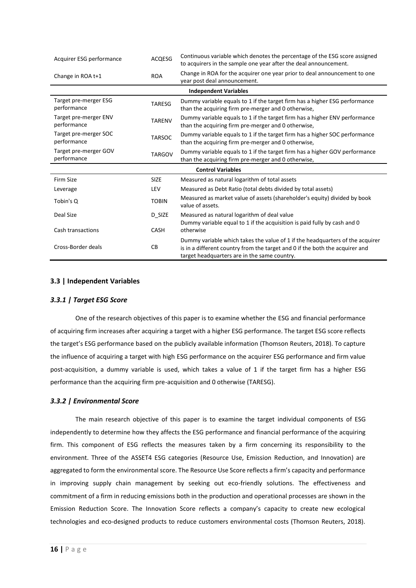| Acquirer ESG performance             | <b>ACQESG</b> | Continuous variable which denotes the percentage of the ESG score assigned<br>to acquirers in the sample one year after the deal announcement.                                                                |
|--------------------------------------|---------------|---------------------------------------------------------------------------------------------------------------------------------------------------------------------------------------------------------------|
| Change in ROA t+1                    | <b>ROA</b>    | Change in ROA for the acquirer one year prior to deal announcement to one<br>year post deal announcement.                                                                                                     |
|                                      |               | <b>Independent Variables</b>                                                                                                                                                                                  |
| Target pre-merger ESG<br>performance | <b>TARESG</b> | Dummy variable equals to 1 if the target firm has a higher ESG performance<br>than the acquiring firm pre-merger and 0 otherwise,                                                                             |
| Target pre-merger ENV<br>performance | <b>TARENV</b> | Dummy variable equals to 1 if the target firm has a higher ENV performance<br>than the acquiring firm pre-merger and 0 otherwise,                                                                             |
| Target pre-merger SOC<br>performance | <b>TARSOC</b> | Dummy variable equals to 1 if the target firm has a higher SOC performance<br>than the acquiring firm pre-merger and 0 otherwise,                                                                             |
| Target pre-merger GOV<br>performance | <b>TARGOV</b> | Dummy variable equals to 1 if the target firm has a higher GOV performance<br>than the acquiring firm pre-merger and 0 otherwise,                                                                             |
|                                      |               | <b>Control Variables</b>                                                                                                                                                                                      |
| Firm Size                            | <b>SIZE</b>   | Measured as natural logarithm of total assets                                                                                                                                                                 |
| Leverage                             | <b>LEV</b>    | Measured as Debt Ratio (total debts divided by total assets)                                                                                                                                                  |
| Tobin's Q                            | <b>TOBIN</b>  | Measured as market value of assets (shareholder's equity) divided by book<br>value of assets.                                                                                                                 |
| Deal Size                            | D_SIZE        | Measured as natural logarithm of deal value                                                                                                                                                                   |
| Cash transactions                    | <b>CASH</b>   | Dummy variable equal to 1 if the acquisition is paid fully by cash and 0<br>otherwise                                                                                                                         |
| Cross-Border deals                   | <b>CB</b>     | Dummy variable which takes the value of 1 if the headquarters of the acquirer<br>is in a different country from the target and 0 if the both the acquirer and<br>target headquarters are in the same country. |

# <span id="page-15-0"></span>**3.3 | Independent Variables**

# <span id="page-15-1"></span>*3.3.1 | Target ESG Score*

One of the research objectives of this paper is to examine whether the ESG and financial performance of acquiring firm increases after acquiring a target with a higher ESG performance. The target ESG score reflects the target's ESG performance based on the publicly available information (Thomson Reuters, 2018). To capture the influence of acquiring a target with high ESG performance on the acquirer ESG performance and firm value post-acquisition, a dummy variable is used, which takes a value of 1 if the target firm has a higher ESG performance than the acquiring firm pre-acquisition and 0 otherwise (TARESG).

# <span id="page-15-2"></span>*3.3.2 | Environmental Score*

The main research objective of this paper is to examine the target individual components of ESG independently to determine how they affects the ESG performance and financial performance of the acquiring firm. This component of ESG reflects the measures taken by a firm concerning its responsibility to the environment. Three of the ASSET4 ESG categories (Resource Use, Emission Reduction, and Innovation) are aggregated to form the environmental score. The Resource Use Score reflects a firm's capacity and performance in improving supply chain management by seeking out eco-friendly solutions. The effectiveness and commitment of a firm in reducing emissions both in the production and operational processes are shown in the Emission Reduction Score. The Innovation Score reflects a company's capacity to create new ecological technologies and eco-designed products to reduce customers environmental costs (Thomson Reuters, 2018).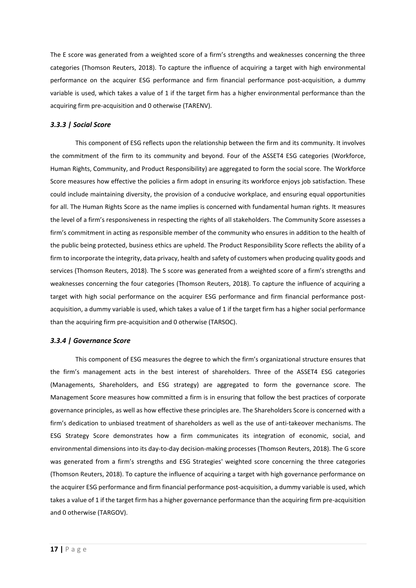The E score was generated from a weighted score of a firm's strengths and weaknesses concerning the three categories (Thomson Reuters, 2018). To capture the influence of acquiring a target with high environmental performance on the acquirer ESG performance and firm financial performance post-acquisition, a dummy variable is used, which takes a value of 1 if the target firm has a higher environmental performance than the acquiring firm pre-acquisition and 0 otherwise (TARENV).

# <span id="page-16-0"></span>*3.3.3 | Social Score*

This component of ESG reflects upon the relationship between the firm and its community. It involves the commitment of the firm to its community and beyond. Four of the ASSET4 ESG categories (Workforce, Human Rights, Community, and Product Responsibility) are aggregated to form the social score. The Workforce Score measures how effective the policies a firm adopt in ensuring its workforce enjoys job satisfaction. These could include maintaining diversity, the provision of a conducive workplace, and ensuring equal opportunities for all. The Human Rights Score as the name implies is concerned with fundamental human rights. It measures the level of a firm's responsiveness in respecting the rights of all stakeholders. The Community Score assesses a firm's commitment in acting as responsible member of the community who ensures in addition to the health of the public being protected, business ethics are upheld. The Product Responsibility Score reflects the ability of a firm to incorporate the integrity, data privacy, health and safety of customers when producing quality goods and services (Thomson Reuters, 2018). The S score was generated from a weighted score of a firm's strengths and weaknesses concerning the four categories (Thomson Reuters, 2018). To capture the influence of acquiring a target with high social performance on the acquirer ESG performance and firm financial performance postacquisition, a dummy variable is used, which takes a value of 1 if the target firm has a higher social performance than the acquiring firm pre-acquisition and 0 otherwise (TARSOC).

# <span id="page-16-1"></span>*3.3.4 | Governance Score*

This component of ESG measures the degree to which the firm's organizational structure ensures that the firm's management acts in the best interest of shareholders. Three of the ASSET4 ESG categories (Managements, Shareholders, and ESG strategy) are aggregated to form the governance score. The Management Score measures how committed a firm is in ensuring that follow the best practices of corporate governance principles, as well as how effective these principles are. The Shareholders Score is concerned with a firm's dedication to unbiased treatment of shareholders as well as the use of anti-takeover mechanisms. The ESG Strategy Score demonstrates how a firm communicates its integration of economic, social, and environmental dimensions into its day-to-day decision-making processes (Thomson Reuters, 2018). The G score was generated from a firm's strengths and ESG Strategies' weighted score concerning the three categories (Thomson Reuters, 2018). To capture the influence of acquiring a target with high governance performance on the acquirer ESG performance and firm financial performance post-acquisition, a dummy variable is used, which takes a value of 1 if the target firm has a higher governance performance than the acquiring firm pre-acquisition and 0 otherwise (TARGOV).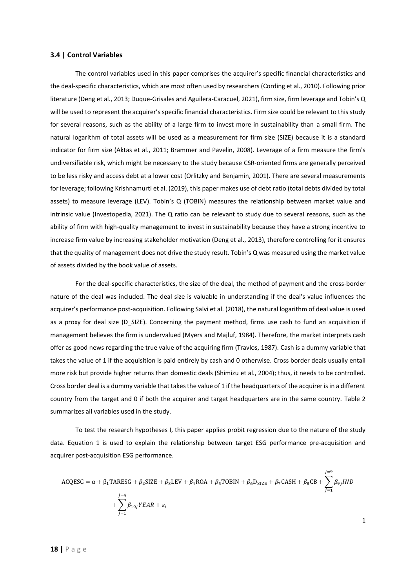#### <span id="page-17-0"></span>**3.4 | Control Variables**

The control variables used in this paper comprises the acquirer's specific financial characteristics and the deal-specific characteristics, which are most often used by researchers (Cording et al., 2010). Following prior literature (Deng et al., 2013; Duque-Grisales and Aguilera-Caracuel, 2021), firm size, firm leverage and Tobin's Q will be used to represent the acquirer's specific financial characteristics. Firm size could be relevant to this study for several reasons, such as the ability of a large firm to invest more in sustainability than a small firm. The natural logarithm of total assets will be used as a measurement for firm size (SIZE) because it is a standard indicator for firm size (Aktas et al., 2011; Brammer and Pavelin, 2008). Leverage of a firm measure the firm's undiversifiable risk, which might be necessary to the study because CSR-oriented firms are generally perceived to be less risky and access debt at a lower cost (Orlitzky and Benjamin, 2001). There are several measurements for leverage; following Krishnamurti et al. (2019), this paper makes use of debt ratio (total debts divided by total assets) to measure leverage (LEV). Tobin's Q (TOBIN) measures the relationship between market value and intrinsic value (Investopedia, 2021). The Q ratio can be relevant to study due to several reasons, such as the ability of firm with high-quality management to invest in sustainability because they have a strong incentive to increase firm value by increasing stakeholder motivation (Deng et al., 2013), therefore controlling for it ensures that the quality of management does not drive the study result. Tobin's Q was measured using the market value of assets divided by the book value of assets.

For the deal-specific characteristics, the size of the deal, the method of payment and the cross-border nature of the deal was included. The deal size is valuable in understanding if the deal's value influences the acquirer's performance post-acquisition. Following Salvi et al. (2018), the natural logarithm of deal value is used as a proxy for deal size (D\_SIZE). Concerning the payment method, firms use cash to fund an acquisition if management believes the firm is undervalued (Myers and Majluf, 1984). Therefore, the market interprets cash offer as good news regarding the true value of the acquiring firm (Travlos, 1987). Cash is a dummy variable that takes the value of 1 if the acquisition is paid entirely by cash and 0 otherwise. Cross border deals usually entail more risk but provide higher returns than domestic deals (Shimizu et al., 2004); thus, it needs to be controlled. Cross border deal is a dummy variable that takes the value of 1 if the headquarters of the acquirer is in a different country from the target and 0 if both the acquirer and target headquarters are in the same country. [Table 2](#page-14-1) summarizes all variables used in the study.

To test the research hypotheses I, this paper applies probit regression due to the nature of the study data. Equation [1](#page-17-1) is used to explain the relationship between target ESG performance pre-acquisition and acquirer post-acquisition ESG performance.

<span id="page-17-1"></span>
$$
ACQESG = \alpha + \beta_1 TARESG + \beta_2 SIZE + \beta_3 LEV + \beta_4 ROA + \beta_5 TOBIN + \beta_6 D_{SIZE} + \beta_7 CASH + \beta_8 CB + \sum_{j=1}^{j=9} \beta_{9j} IND
$$
  
+ 
$$
\sum_{j=1}^{j=4} \beta_{10j} YEAR + \varepsilon_i
$$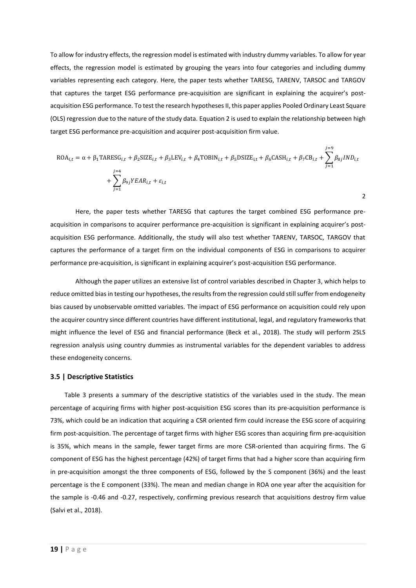To allow for industry effects, the regression model is estimated with industry dummy variables. To allow for year effects, the regression model is estimated by grouping the years into four categories and including dummy variables representing each category. Here, the paper tests whether TARESG, TARENV, TARSOC and TARGOV that captures the target ESG performance pre-acquisition are significant in explaining the acquirer's postacquisition ESG performance. To test the research hypotheses II, this paper applies Pooled Ordinary Least Square (OLS) regression due to the nature of the study data. Equatio[n 2](#page-18-1) is used to explain the relationship between high target ESG performance pre-acquisition and acquirer post-acquisition firm value.

<span id="page-18-1"></span>
$$
ROA_{i,t} = \alpha + \beta_1 \text{TARESG}_{i,t} + \beta_2 \text{SIZE}_{i,t} + \beta_3 \text{LEV}_{i,t} + \beta_4 \text{TOBIN}_{i,t} + \beta_5 \text{DSIZE}_{i,t} + \beta_6 \text{CASH}_{i,t} + \beta_7 \text{CB}_{i,t} + \sum_{j=1}^{j=9} \beta_{8j} IND_{i,t} + \sum_{j=1}^{j=4} \beta_{9j} YEAR_{i,t} + \varepsilon_{i,t}
$$

Here, the paper tests whether TARESG that captures the target combined ESG performance preacquisition in comparisons to acquirer performance pre-acquisition is significant in explaining acquirer's postacquisition ESG performance. Additionally, the study will also test whether TARENV, TARSOC, TARGOV that captures the performance of a target firm on the individual components of ESG in comparisons to acquirer performance pre-acquisition, is significant in explaining acquirer's post-acquisition ESG performance.

Although the paper utilizes an extensive list of control variables described i[n Chapter 3,](#page-12-0) which helps to reduce omitted bias in testing our hypotheses, the results from the regression could still suffer from endogeneity bias caused by unobservable omitted variables. The impact of ESG performance on acquisition could rely upon the acquirer country since different countries have different institutional, legal, and regulatory frameworks that might influence the level of ESG and financial performance (Beck et al., 2018). The study will perform 2SLS regression analysis using country dummies as instrumental variables for the dependent variables to address these endogeneity concerns.

#### <span id="page-18-0"></span>**3.5 | Descriptive Statistics**

[Table 3](#page-19-1) presents a summary of the descriptive statistics of the variables used in the study. The mean percentage of acquiring firms with higher post-acquisition ESG scores than its pre-acquisition performance is 73%, which could be an indication that acquiring a CSR oriented firm could increase the ESG score of acquiring firm post-acquisition. The percentage of target firms with higher ESG scores than acquiring firm pre-acquisition is 35%, which means in the sample, fewer target firms are more CSR-oriented than acquiring firms. The G component of ESG has the highest percentage (42%) of target firms that had a higher score than acquiring firm in pre-acquisition amongst the three components of ESG, followed by the S component (36%) and the least percentage is the E component (33%). The mean and median change in ROA one year after the acquisition for the sample is -0.46 and -0.27, respectively, confirming previous research that acquisitions destroy firm value (Salvi et al., 2018).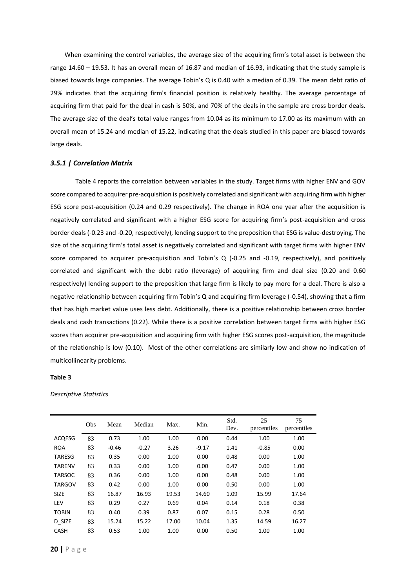When examining the control variables, the average size of the acquiring firm's total asset is between the range 14.60 – 19.53. It has an overall mean of 16.87 and median of 16.93, indicating that the study sample is biased towards large companies. The average Tobin's Q is 0.40 with a median of 0.39. The mean debt ratio of 29% indicates that the acquiring firm's financial position is relatively healthy. The average percentage of acquiring firm that paid for the deal in cash is 50%, and 70% of the deals in the sample are cross border deals. The average size of the deal's total value ranges from 10.04 as its minimum to 17.00 as its maximum with an overall mean of 15.24 and median of 15.22, indicating that the deals studied in this paper are biased towards large deals.

#### <span id="page-19-0"></span>*3.5.1 | Correlation Matrix*

[Table 4](#page-20-0) reports the correlation between variables in the study. Target firms with higher ENV and GOV score compared to acquirer pre-acquisition is positively correlated and significant with acquiring firm with higher ESG score post-acquisition (0.24 and 0.29 respectively). The change in ROA one year after the acquisition is negatively correlated and significant with a higher ESG score for acquiring firm's post-acquisition and cross border deals (-0.23 and -0.20, respectively), lending support to the preposition that ESG is value-destroying. The size of the acquiring firm's total asset is negatively correlated and significant with target firms with higher ENV score compared to acquirer pre-acquisition and Tobin's Q (-0.25 and -0.19, respectively), and positively correlated and significant with the debt ratio (leverage) of acquiring firm and deal size (0.20 and 0.60 respectively) lending support to the preposition that large firm is likely to pay more for a deal. There is also a negative relationship between acquiring firm Tobin's Q and acquiring firm leverage (-0.54), showing that a firm that has high market value uses less debt. Additionally, there is a positive relationship between cross border deals and cash transactions (0.22). While there is a positive correlation between target firms with higher ESG scores than acquirer pre-acquisition and acquiring firm with higher ESG scores post-acquisition, the magnitude of the relationship is low (0.10). Most of the other correlations are similarly low and show no indication of multicollinearity problems.

#### <span id="page-19-1"></span>**Table 3**

*Descriptive Statistics*

|               | Obs | Mean    | Median  | Max.  | Min.    | Std.<br>Dev. | 25<br>percentiles | 75<br>percentiles |
|---------------|-----|---------|---------|-------|---------|--------------|-------------------|-------------------|
| <b>ACQESG</b> | 83  | 0.73    | 1.00    | 1.00  | 0.00    | 0.44         | 1.00              | 1.00              |
| <b>ROA</b>    | 83  | $-0.46$ | $-0.27$ | 3.26  | $-9.17$ | 1.41         | $-0.85$           | 0.00              |
| TARESG        | 83  | 0.35    | 0.00    | 1.00  | 0.00    | 0.48         | 0.00              | 1.00              |
| <b>TARENV</b> | 83  | 0.33    | 0.00    | 1.00  | 0.00    | 0.47         | 0.00              | 1.00              |
| <b>TARSOC</b> | 83  | 0.36    | 0.00    | 1.00  | 0.00    | 0.48         | 0.00              | 1.00              |
| <b>TARGOV</b> | 83  | 0.42    | 0.00    | 1.00  | 0.00    | 0.50         | 0.00              | 1.00              |
| <b>SIZE</b>   | 83  | 16.87   | 16.93   | 19.53 | 14.60   | 1.09         | 15.99             | 17.64             |
| <b>LEV</b>    | 83  | 0.29    | 0.27    | 0.69  | 0.04    | 0.14         | 0.18              | 0.38              |
| <b>TOBIN</b>  | 83  | 0.40    | 0.39    | 0.87  | 0.07    | 0.15         | 0.28              | 0.50              |
| D SIZE        | 83  | 15.24   | 15.22   | 17.00 | 10.04   | 1.35         | 14.59             | 16.27             |
| <b>CASH</b>   | 83  | 0.53    | 1.00    | 1.00  | 0.00    | 0.50         | 1.00              | 1.00              |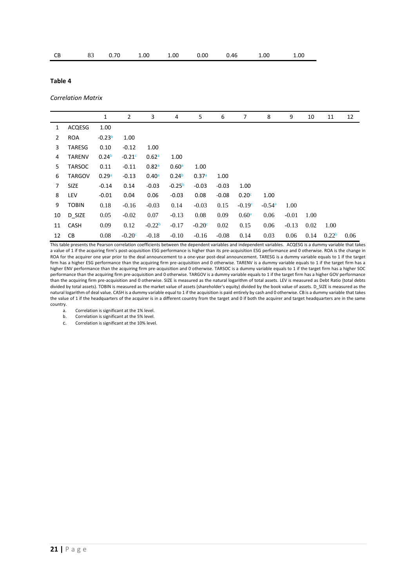|  |  |  |  |  |  |  | CB 83 0.70 1.00 1.00 0.00 0.46 1.00 1.00 |  |
|--|--|--|--|--|--|--|------------------------------------------|--|
|--|--|--|--|--|--|--|------------------------------------------|--|

# <span id="page-20-0"></span>**Table 4**

#### *Correlation Matrix*

|                |               | 1                 | 2        | 3        | 4                 | 5        | 6       | 7                 | 8        | 9       | 10   | 11                | 12   |
|----------------|---------------|-------------------|----------|----------|-------------------|----------|---------|-------------------|----------|---------|------|-------------------|------|
| 1              | ACQESG        | 1.00              |          |          |                   |          |         |                   |          |         |      |                   |      |
| $\overline{2}$ | <b>ROA</b>    | $-0.23b$          | 1.00     |          |                   |          |         |                   |          |         |      |                   |      |
| 3              | <b>TARESG</b> | 0.10              | $-0.12$  | 1.00     |                   |          |         |                   |          |         |      |                   |      |
| 4              | <b>TARENV</b> | 0.24 <sup>b</sup> | $-0.21c$ | 0.62a    | 1.00              |          |         |                   |          |         |      |                   |      |
| 5              | <b>TARSOC</b> | 0.11              | $-0.11$  | 0.82a    | 0.60a             | 1.00     |         |                   |          |         |      |                   |      |
| 6              | <b>TARGOV</b> | 0.29a             | $-0.13$  | 0.40a    | 0.24 <sup>b</sup> | 0.37a    | 1.00    |                   |          |         |      |                   |      |
| 7              | <b>SIZE</b>   | $-0.14$           | 0.14     | $-0.03$  | $-0.25b$          | $-0.03$  | $-0.03$ | 1.00              |          |         |      |                   |      |
| 8              | LEV           | $-0.01$           | 0.04     | 0.06     | $-0.03$           | 0.08     | $-0.08$ | 0.20c             | 1.00     |         |      |                   |      |
| 9              | <b>TOBIN</b>  | 0.18              | $-0.16$  | $-0.03$  | 0.14              | $-0.03$  | 0.15    | $-0.19c$          | $-0.54a$ | 1.00    |      |                   |      |
| 10             | D SIZE        | 0.05              | $-0.02$  | 0.07     | $-0.13$           | 0.08     | 0.09    | 0.60 <sup>a</sup> | 0.06     | $-0.01$ | 1.00 |                   |      |
| 11             | CASH          | 0.09              | 0.12     | $-0.22b$ | $-0.17$           | $-0.20c$ | 0.02    | 0.15              | 0.06     | $-0.13$ | 0.02 | 1.00              |      |
| 12             | CВ            | 0.08              | $-0.20c$ | $-0.18$  | $-0.10$           | $-0.16$  | $-0.08$ | 0.14              | 0.03     | 0.06    | 0.14 | 0.22 <sup>b</sup> | 0.06 |

This table presents the Pearson correlation coefficients between the dependent variables and independent variables. ACQESG is a dummy variable that takes a value of 1 if the acquiring firm's post-acquisition ESG performance is higher than its pre-acquisition ESG performance and 0 otherwise. ROA is the change in ROA for the acquirer one year prior to the deal announcement to a one-year post-deal announcement. TARESG is a dummy variable equals to 1 if the target firm has a higher ESG performance than the acquiring firm pre-acquisition and 0 otherwise. TARENV is a dummy variable equals to 1 if the target firm has a higher ENV performance than the acquiring firm pre-acquisition and 0 otherwise. TARSOC is a dummy variable equals to 1 if the target firm has a higher SOC performance than the acquiring firm pre-acquisition and 0 otherwise. TARGOV is a dummy variable equals to 1 if the target firm has a higher GOV performance than the acquiring firm pre-acquisition and 0 otherwise. SIZE is measured as the natural logarithm of total assets. LEV is measured as Debt Ratio (total debts divided by total assets). TOBIN is measured as the market value of assets (shareholder's equity) divided by the book value of assets. D\_SIZE is measured as the natural logarithm of deal value. CASH is a dummy variable equal to 1 if the acquisition is paid entirely by cash and 0 otherwise. CB is a dummy variable that takes the value of 1 if the headquarters of the acquirer is in a different country from the target and 0 if both the acquirer and target headquarters are in the same country.

a. Correlation is significant at the 1% level.

b. Correlation is significant at the 5% level.

c. Correlation is significant at the 10% level.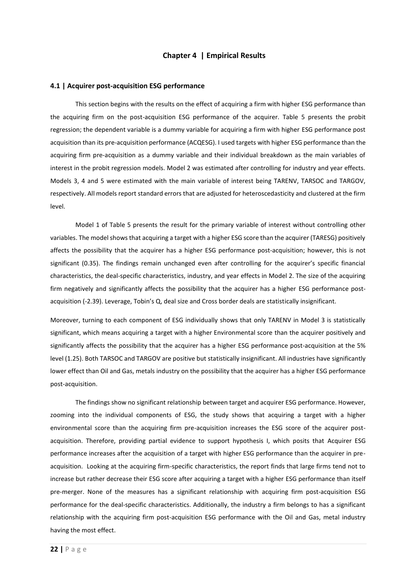# **Chapter 4 | Empirical Results**

#### <span id="page-21-1"></span><span id="page-21-0"></span>**4.1 | Acquirer post-acquisition ESG performance**

This section begins with the results on the effect of acquiring a firm with higher ESG performance than the acquiring firm on the post-acquisition ESG performance of the acquirer. [Table 5](#page-22-0) presents the probit regression; the dependent variable is a dummy variable for acquiring a firm with higher ESG performance post acquisition than its pre-acquisition performance (ACQESG). I used targets with higher ESG performance than the acquiring firm pre-acquisition as a dummy variable and their individual breakdown as the main variables of interest in the probit regression models. Model 2 was estimated after controlling for industry and year effects. Models 3, 4 and 5 were estimated with the main variable of interest being TARENV, TARSOC and TARGOV, respectively. All models report standard errors that are adjusted for heteroscedasticity and clustered at the firm level.

Model 1 of [Table 5](#page-22-0) presents the result for the primary variable of interest without controlling other variables. The model shows that acquiring a target with a higher ESG score than the acquirer (TARESG) positively affects the possibility that the acquirer has a higher ESG performance post-acquisition; however, this is not significant (0.35). The findings remain unchanged even after controlling for the acquirer's specific financial characteristics, the deal-specific characteristics, industry, and year effects in Model 2. The size of the acquiring firm negatively and significantly affects the possibility that the acquirer has a higher ESG performance postacquisition (-2.39). Leverage, Tobin's Q, deal size and Cross border deals are statistically insignificant.

Moreover, turning to each component of ESG individually shows that only TARENV in Model 3 is statistically significant, which means acquiring a target with a higher Environmental score than the acquirer positively and significantly affects the possibility that the acquirer has a higher ESG performance post-acquisition at the 5% level (1.25). Both TARSOC and TARGOV are positive but statistically insignificant. All industries have significantly lower effect than Oil and Gas, metals industry on the possibility that the acquirer has a higher ESG performance post-acquisition.

The findings show no significant relationship between target and acquirer ESG performance. However, zooming into the individual components of ESG, the study shows that acquiring a target with a higher environmental score than the acquiring firm pre-acquisition increases the ESG score of the acquirer postacquisition. Therefore, providing partial evidence to support hypothesis I, which posits that Acquirer ESG performance increases after the acquisition of a target with higher ESG performance than the acquirer in preacquisition. Looking at the acquiring firm-specific characteristics, the report finds that large firms tend not to increase but rather decrease their ESG score after acquiring a target with a higher ESG performance than itself pre-merger. None of the measures has a significant relationship with acquiring firm post-acquisition ESG performance for the deal-specific characteristics. Additionally, the industry a firm belongs to has a significant relationship with the acquiring firm post-acquisition ESG performance with the Oil and Gas, metal industry having the most effect.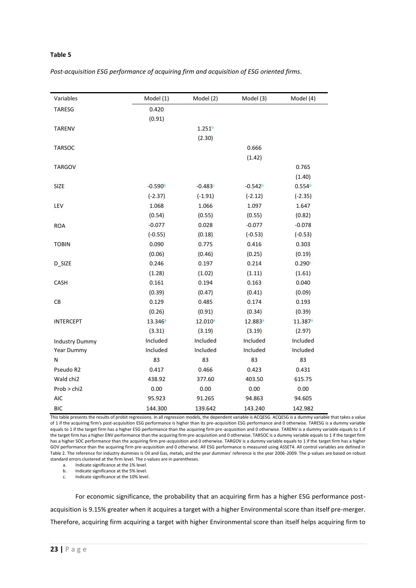# <span id="page-22-0"></span>**Table 5**

| Variables             | Model (1)           | Model (2)           | Model (3)           | Model (4)           |
|-----------------------|---------------------|---------------------|---------------------|---------------------|
| <b>TARESG</b>         | 0.420               |                     |                     |                     |
|                       | (0.91)              |                     |                     |                     |
| <b>TARENV</b>         |                     | 1.251 <sup>b</sup>  |                     |                     |
|                       |                     | (2.30)              |                     |                     |
| <b>TARSOC</b>         |                     |                     | 0.666               |                     |
|                       |                     |                     | (1.42)              |                     |
| <b>TARGOV</b>         |                     |                     |                     | 0.765               |
|                       |                     |                     |                     | (1.40)              |
| SIZE                  | $-0.590b$           | $-0.483c$           | $-0.542b$           | 0.554 <sup>b</sup>  |
|                       | $(-2.37)$           | $(-1.91)$           | $(-2.12)$           | $(-2.35)$           |
| LEV                   | 1.068               | 1.066               | 1.097               | 1.647               |
|                       | (0.54)              | (0.55)              | (0.55)              | (0.82)              |
| <b>ROA</b>            | $-0.077$            | 0.028               | $-0.077$            | $-0.078$            |
|                       | $(-0.55)$           | (0.18)              | $(-0.53)$           | $(-0.53)$           |
| <b>TOBIN</b>          | 0.090               | 0.775               | 0.416               | 0.303               |
|                       | (0.06)              | (0.46)              | (0.25)              | (0.19)              |
| D_SIZE                | 0.246               | 0.197               | 0.214               | 0.290c              |
|                       | (1.28)              | (1.02)              | (1.11)              | (1.61)              |
| CASH                  | 0.161               | 0.194               | 0.163               | 0.040               |
|                       | (0.39)              | (0.47)              | (0.41)              | (0.09)              |
| CB                    | 0.129               | 0.485               | 0.174               | 0.193               |
|                       | (0.26)              | (0.91)              | (0.34)              | (0.39)              |
| <b>INTERCEPT</b>      | 13.346 <sup>a</sup> | 12.010 <sup>a</sup> | 12.883 <sup>a</sup> | 11.387 <sup>a</sup> |
|                       | (3.31)              | (3.19)              | (3.19)              | (2.97)              |
| <b>Industry Dummy</b> | Included            | Included            | Included            | Included            |
| Year Dummy            | Included            | Included            | Included            | Included            |
| N                     | 83                  | 83                  | 83                  | 83                  |
| Pseudo R2             | 0.417               | 0.466               | 0.423               | 0.431               |
| Wald chi2             | 438.92              | 377.60              | 403.50              | 615.75              |
| Prob > chi2           | 0.00                | 0.00                | 0.00                | 0.00                |
| <b>AIC</b>            | 95.923              | 91.265              | 94.863              | 94.605              |
| <b>BIC</b>            | 144.300             | 139.642             | 143.240             | 142.982             |

*Post-acquisition ESG performance of acquiring firm and acquisition of ESG oriented firms.*

This table presents the results of probit regressions. In all regression models, the dependent variable is ACQESG. ACQESG is a dummy variable that takes a value of 1 if the acquiring firm's post-acquisition ESG performance is higher than its pre-acquisition ESG performance and 0 otherwise. TARESG is a dummy variable equals to 1 if the target firm has a higher ESG performance than the acquiring firm pre-acquisition and 0 otherwise. TARENV is a dummy variable equals to 1 if the target firm has a higher ENV performance than the acquiring firm pre-acquisition and 0 otherwise. TARSOC is a dummy variable equals to 1 if the target firm has a higher SOC performance than the acquiring firm pre-acquisition and 0 otherwise. TARGOV is a dummy variable equals to 1 if the target firm has a higher GOV performance than the acquiring firm pre-acquisition and 0 otherwise. All ESG performance is measured using ASSET4. All control variables are defined in [Table 2.](#page-14-1) The reference for industry dummies is Oil and Gas, metals, and the year dummies' reference is the year 2006-2009. The p-values are based on robust standard errors clustered at the firm level. The z-values are in parentheses.

a. Indicate significance at the 1% level.

b. Indicate significance at the 5% level.

c. Indicate significance at the 10% level.

For economic significance, the probability that an acquiring firm has a higher ESG performance postacquisition is 9.15% greater when it acquires a target with a higher Environmental score than itself pre-merger. Therefore, acquiring firm acquiring a target with higher Environmental score than itself helps acquiring firm to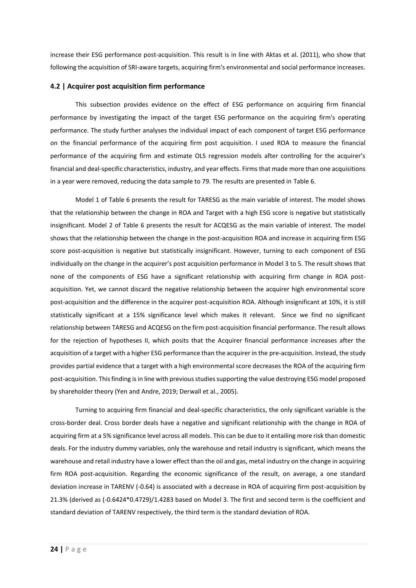increase their ESG performance post-acquisition. This result is in line with Aktas et al. (2011), who show that following the acquisition of SRI-aware targets, acquiring firm's environmental and social performance increases.

#### <span id="page-23-0"></span>**4.2 | Acquirer post acquisition firm performance**

This subsection provides evidence on the effect of ESG performance on acquiring firm financial performance by investigating the impact of the target ESG performance on the acquiring firm's operating performance. The study further analyses the individual impact of each component of target ESG performance on the financial performance of the acquiring firm post acquisition. I used ROA to measure the financial performance of the acquiring firm and estimate OLS regression models after controlling for the acquirer's financial and deal-specific characteristics, industry, and year effects. Firms that made more than one acquisitions in a year were removed, reducing the data sample to 79. The results are presented in [Table 6.](#page-24-0)

Model 1 of [Table 6](#page-24-0) presents the result for TARESG as the main variable of interest. The model shows that the relationship between the change in ROA and Target with a high ESG score is negative but statistically insignificant. Model 2 of [Table 6](#page-24-0) presents the result for ACQESG as the main variable of interest. The model shows that the relationship between the change in the post-acquisition ROA and increase in acquiring firm ESG score post-acquisition is negative but statistically insignificant. However, turning to each component of ESG individually on the change in the acquirer's post acquisition performance in Model 3 to 5. The result shows that none of the components of ESG have a significant relationship with acquiring firm change in ROA postacquisition. Yet, we cannot discard the negative relationship between the acquirer high environmental score post-acquisition and the difference in the acquirer post-acquisition ROA. Although insignificant at 10%, it is still statistically significant at a 15% significance level which makes it relevant. Since we find no significant relationship between TARESG and ACQESG on the firm post-acquisition financial performance. The result allows for the rejection of hypotheses II, which posits that the Acquirer financial performance increases after the acquisition of a target with a higher ESG performance than the acquirer in the pre-acquisition. Instead, the study provides partial evidence that a target with a high environmental score decreases the ROA of the acquiring firm post-acquisition. This finding is in line with previous studies supporting the value destroying ESG model proposed by shareholder theory (Yen and Andre, 2019; Derwall et al., 2005).

Turning to acquiring firm financial and deal-specific characteristics, the only significant variable is the cross-border deal. Cross border deals have a negative and significant relationship with the change in ROA of acquiring firm at a 5% significance level across all models. This can be due to it entailing more risk than domestic deals. For the industry dummy variables, only the warehouse and retail industry is significant, which means the warehouse and retail industry have a lower effect than the oil and gas, metal industry on the change in acquiring firm ROA post-acquisition. Regarding the economic significance of the result, on average, a one standard deviation increase in TARENV (-0.64) is associated with a decrease in ROA of acquiring firm post-acquisition by 21.3% (derived as (-0.6424\*0.4729)/1.4283 based on Model 3. The first and second term is the coefficient and standard deviation of TARENV respectively, the third term is the standard deviation of ROA.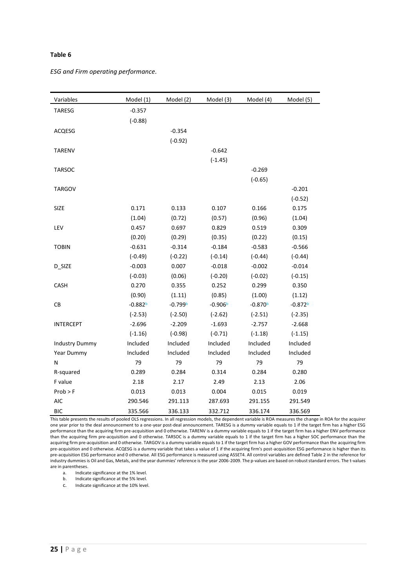# <span id="page-24-0"></span>**Table 6**

*ESG and Firm operating performance.*

| Variables        | Model (1) | Model (2) | Model (3) | Model (4) | Model (5) |
|------------------|-----------|-----------|-----------|-----------|-----------|
| <b>TARESG</b>    | $-0.357$  |           |           |           |           |
|                  | $(-0.88)$ |           |           |           |           |
| ACQESG           |           | $-0.354$  |           |           |           |
|                  |           | $(-0.92)$ |           |           |           |
| <b>TARENV</b>    |           |           | $-0.642$  |           |           |
|                  |           |           | $(-1.45)$ |           |           |
| <b>TARSOC</b>    |           |           |           | $-0.269$  |           |
|                  |           |           |           | $(-0.65)$ |           |
| <b>TARGOV</b>    |           |           |           |           | $-0.201$  |
|                  |           |           |           |           | $(-0.52)$ |
| <b>SIZE</b>      | 0.171     | 0.133     | 0.107     | 0.166     | 0.175     |
|                  | (1.04)    | (0.72)    | (0.57)    | (0.96)    | (1.04)    |
| LEV              | 0.457     | 0.697     | 0.829     | 0.519     | 0.309     |
|                  | (0.20)    | (0.29)    | (0.35)    | (0.22)    | (0.15)    |
| <b>TOBIN</b>     | $-0.631$  | $-0.314$  | $-0.184$  | $-0.583$  | $-0.566$  |
|                  | $(-0.49)$ | $(-0.22)$ | $(-0.14)$ | $(-0.44)$ | $(-0.44)$ |
| D_SIZE           | $-0.003$  | 0.007     | $-0.018$  | $-0.002$  | $-0.014$  |
|                  | $(-0.03)$ | (0.06)    | $(-0.20)$ | $(-0.02)$ | $(-0.15)$ |
| CASH             | 0.270     | 0.355     | 0.252     | 0.299     | 0.350     |
|                  | (0.90)    | (1.11)    | (0.85)    | (1.00)    | (1.12)    |
| ${\sf CB}$       | $-0.882b$ | $-0.799b$ | $-0.906b$ | $-0.870b$ | $-0.872b$ |
|                  | $(-2.53)$ | $(-2.50)$ | $(-2.62)$ | $(-2.51)$ | $(-2.35)$ |
| <b>INTERCEPT</b> | $-2.696$  | $-2.209$  | $-1.693$  | $-2.757$  | $-2.668$  |
|                  | $(-1.16)$ | $(-0.98)$ | $(-0.71)$ | $(-1.18)$ | $(-1.15)$ |
| Industry Dummy   | Included  | Included  | Included  | Included  | Included  |
| Year Dummy       | Included  | Included  | Included  | Included  | Included  |
| N                | 79        | 79        | 79        | 79        | 79        |
| R-squared        | 0.289     | 0.284     | 0.314     | 0.284     | 0.280     |
| F value          | 2.18      | 2.17      | 2.49      | 2.13      | 2.06      |
| $Prob$ > F       | 0.013     | 0.013     | 0.004     | 0.015     | 0.019     |
| <b>AIC</b>       | 290.546   | 291.113   | 287.693   | 291.155   | 291.549   |
| <b>BIC</b>       | 335.566   | 336.133   | 332.712   | 336.174   | 336.569   |

This table presents the results of pooled OLS regressions. In all regression models, the dependent variable is ROA measures the change in ROA for the acquirer one year prior to the deal announcement to a one-year post-deal announcement. TARESG is a dummy variable equals to 1 if the target firm has a higher ESG performance than the acquiring firm pre-acquisition and 0 otherwise. TARENV is a dummy variable equals to 1 if the target firm has a higher ENV performance than the acquiring firm pre-acquisition and 0 otherwise. TARSOC is a dummy variable equals to 1 if the target firm has a higher SOC performance than the acquiring firm pre-acquisition and 0 otherwise. TARGOV is a dummy variable equals to 1 if the target firm has a higher GOV performance than the acquiring firm pre-acquisition and 0 otherwise. ACQESG is a dummy variable that takes a value of 1 if the acquiring firm's post-acquisition ESG performance is higher than its pre-acquisition ESG performance and 0 otherwise. All ESG performance is measured using ASSET4. All control variables are define[d Table 2](#page-14-1) in the reference for industry dummies is Oil and Gas, Metals, and the year dummies' reference is the year 2006-2009. The p-values are based on robust standard errors. The t-values are in parentheses.

a. Indicate significance at the 1% level.<br>b. Indicate significance at the 5% level.

b. Indicate significance at the 5% level.

c. Indicate significance at the 10% level.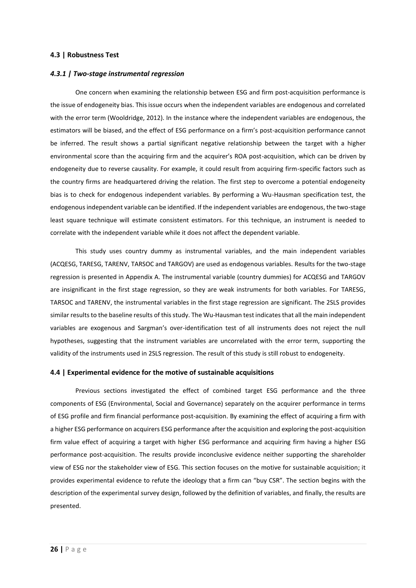#### <span id="page-25-0"></span>**4.3 | Robustness Test**

#### <span id="page-25-1"></span>*4.3.1 | Two-stage instrumental regression*

One concern when examining the relationship between ESG and firm post-acquisition performance is the issue of endogeneity bias. This issue occurs when the independent variables are endogenous and correlated with the error term (Wooldridge, 2012). In the instance where the independent variables are endogenous, the estimators will be biased, and the effect of ESG performance on a firm's post-acquisition performance cannot be inferred. The result shows a partial significant negative relationship between the target with a higher environmental score than the acquiring firm and the acquirer's ROA post-acquisition, which can be driven by endogeneity due to reverse causality. For example, it could result from acquiring firm-specific factors such as the country firms are headquartered driving the relation. The first step to overcome a potential endogeneity bias is to check for endogenous independent variables. By performing a Wu-Hausman specification test, the endogenous independent variable can be identified. If the independent variables are endogenous, the two-stage least square technique will estimate consistent estimators. For this technique, an instrument is needed to correlate with the independent variable while it does not affect the dependent variable.

This study uses country dummy as instrumental variables, and the main independent variables (ACQESG, TARESG, TARENV, TARSOC and TARGOV) are used as endogenous variables. Results for the two-stage regression is presented in [Appendix A.](#page-37-1) The instrumental variable (country dummies) for ACQESG and TARGOV are insignificant in the first stage regression, so they are weak instruments for both variables. For TARESG, TARSOC and TARENV, the instrumental variables in the first stage regression are significant. The 2SLS provides similar results to the baseline results of this study. The Wu-Hausman test indicates that all the main independent variables are exogenous and Sargman's over-identification test of all instruments does not reject the null hypotheses, suggesting that the instrument variables are uncorrelated with the error term, supporting the validity of the instruments used in 2SLS regression. The result of this study is still robust to endogeneity.

#### <span id="page-25-2"></span>**4.4 | Experimental evidence for the motive of sustainable acquisitions**

Previous sections investigated the effect of combined target ESG performance and the three components of ESG (Environmental, Social and Governance) separately on the acquirer performance in terms of ESG profile and firm financial performance post-acquisition. By examining the effect of acquiring a firm with a higher ESG performance on acquirers ESG performance after the acquisition and exploring the post-acquisition firm value effect of acquiring a target with higher ESG performance and acquiring firm having a higher ESG performance post-acquisition. The results provide inconclusive evidence neither supporting the shareholder view of ESG nor the stakeholder view of ESG. This section focuses on the motive for sustainable acquisition; it provides experimental evidence to refute the ideology that a firm can "buy CSR". The section begins with the description of the experimental survey design, followed by the definition of variables, and finally, the results are presented.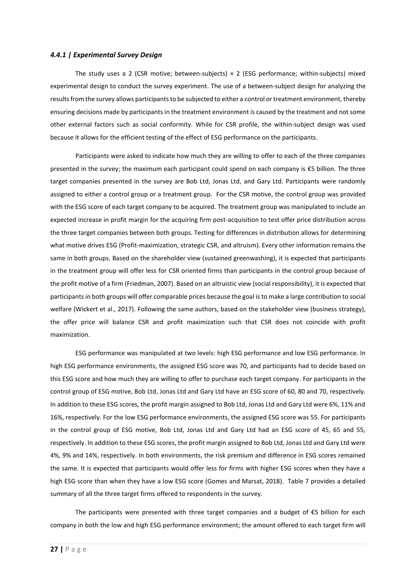#### <span id="page-26-0"></span>*4.4.1 | Experimental Survey Design*

The study uses a 2 (CSR motive; between-subjects)  $\times$  2 (ESG performance; within-subjects) mixed experimental design to conduct the survey experiment. The use of a between-subject design for analyzing the results from the survey allows participants to be subjected to either a control or treatment environment, thereby ensuring decisions made by participants in the treatment environment is caused by the treatment and not some other external factors such as social conformity. While for CSR profile, the within-subject design was used because it allows for the efficient testing of the effect of ESG performance on the participants.

Participants were asked to indicate how much they are willing to offer to each of the three companies presented in the survey; the maximum each participant could spend on each company is €5 billion. The three target companies presented in the survey are Bob Ltd, Jonas Ltd, and Gary Ltd. Participants were randomly assigned to either a control group or a treatment group. For the CSR motive, the control group was provided with the ESG score of each target company to be acquired. The treatment group was manipulated to include an expected increase in profit margin for the acquiring firm post-acquisition to test offer price distribution across the three target companies between both groups. Testing for differences in distribution allows for determining what motive drives ESG (Profit-maximization, strategic CSR, and altruism). Every other information remains the same in both groups. Based on the shareholder view (sustained greenwashing), it is expected that participants in the treatment group will offer less for CSR oriented firms than participants in the control group because of the profit motive of a firm (Friedman, 2007). Based on an altruistic view (social responsibility), it is expected that participants in both groups will offer comparable prices because the goal is to make a large contribution to social welfare (Wickert et al., 2017). Following the same authors, based on the stakeholder view (business strategy), the offer price will balance CSR and profit maximization such that CSR does not coincide with profit maximization.

ESG performance was manipulated at two levels: high ESG performance and low ESG performance. In high ESG performance environments, the assigned ESG score was 70, and participants had to decide based on this ESG score and how much they are willing to offer to purchase each target company. For participants in the control group of ESG motive, Bob Ltd, Jonas Ltd and Gary Ltd have an ESG score of 60, 80 and 70, respectively. In addition to these ESG scores, the profit margin assigned to Bob Ltd, Jonas Ltd and Gary Ltd were 6%, 11% and 16%, respectively. For the low ESG performance environments, the assigned ESG score was 55. For participants in the control group of ESG motive, Bob Ltd, Jonas Ltd and Gary Ltd had an ESG score of 45, 65 and 55, respectively. In addition to these ESG scores, the profit margin assigned to Bob Ltd, Jonas Ltd and Gary Ltd were 4%, 9% and 14%, respectively. In both environments, the risk premium and difference in ESG scores remained the same. It is expected that participants would offer less for firms with higher ESG scores when they have a high ESG score than when they have a low ESG score (Gomes and Marsat, 2018). [Table 7](#page-27-2) provides a detailed summary of all the three target firms offered to respondents in the survey.

The participants were presented with three target companies and a budget of €5 billion for each company in both the low and high ESG performance environment; the amount offered to each target firm will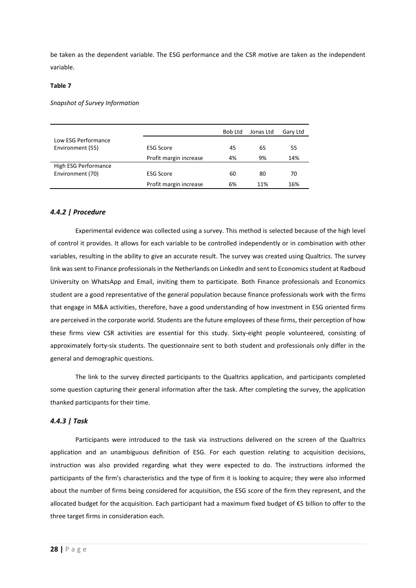be taken as the dependent variable. The ESG performance and the CSR motive are taken as the independent variable.

#### <span id="page-27-2"></span>**Table 7**

*Snapshot of Survey Information*

|                      |                        | Bob Ltd | Jonas Ltd | Gary Ltd |
|----------------------|------------------------|---------|-----------|----------|
| Low ESG Performance  |                        |         |           |          |
| Environment (55)     | <b>ESG Score</b>       | 45      | 65        | 55       |
|                      | Profit margin increase | 4%      | 9%        | 14%      |
| High ESG Performance |                        |         |           |          |
| Environment (70)     | <b>ESG Score</b>       | 60      | 80        | 70       |
|                      | Profit margin increase | 6%      | 11%       | 16%      |

# <span id="page-27-0"></span>*4.4.2 | Procedure*

Experimental evidence was collected using a survey. This method is selected because of the high level of control it provides. It allows for each variable to be controlled independently or in combination with other variables, resulting in the ability to give an accurate result. The survey was created using Qualtrics. The survey link was sent to Finance professionals in the Netherlands on LinkedIn and sent to Economics student at Radboud University on WhatsApp and Email, inviting them to participate. Both Finance professionals and Economics student are a good representative of the general population because finance professionals work with the firms that engage in M&A activities, therefore, have a good understanding of how investment in ESG oriented firms are perceived in the corporate world. Students are the future employees of these firms, their perception of how these firms view CSR activities are essential for this study. Sixty-eight people volunteered, consisting of approximately forty-six students. The questionnaire sent to both student and professionals only differ in the general and demographic questions.

The link to the survey directed participants to the Qualtrics application, and participants completed some question capturing their general information after the task. After completing the survey, the application thanked participants for their time.

#### <span id="page-27-1"></span>*4.4.3 | Task*

Participants were introduced to the task via instructions delivered on the screen of the Qualtrics application and an unambiguous definition of ESG. For each question relating to acquisition decisions, instruction was also provided regarding what they were expected to do. The instructions informed the participants of the firm's characteristics and the type of firm it is looking to acquire; they were also informed about the number of firms being considered for acquisition, the ESG score of the firm they represent, and the allocated budget for the acquisition. Each participant had a maximum fixed budget of €5 billion to offer to the three target firms in consideration each.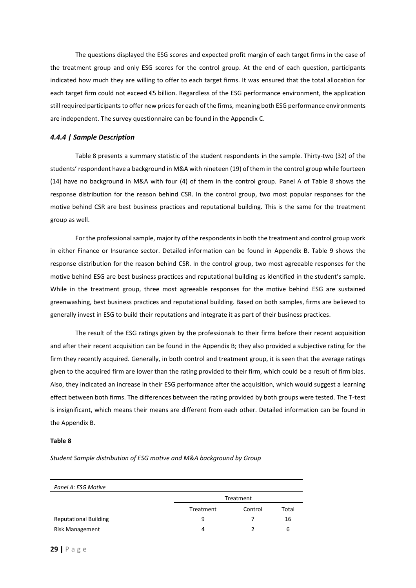The questions displayed the ESG scores and expected profit margin of each target firms in the case of the treatment group and only ESG scores for the control group. At the end of each question, participants indicated how much they are willing to offer to each target firms. It was ensured that the total allocation for each target firm could not exceed €5 billion. Regardless of the ESG performance environment, the application still required participants to offer new prices for each of the firms, meaning both ESG performance environments are independent. The survey questionnaire can be found in the [Appendix C.](#page-39-0)

# <span id="page-28-0"></span>*4.4.4 | Sample Description*

[Table 8](#page-28-1) presents a summary statistic of the student respondents in the sample. Thirty-two (32) of the students' respondent have a background in M&A with nineteen (19) of them in the control group while fourteen (14) have no background in M&A with four (4) of them in the control group. Panel A of [Table 8](#page-28-1) shows the response distribution for the reason behind CSR. In the control group, two most popular responses for the motive behind CSR are best business practices and reputational building. This is the same for the treatment group as well.

For the professional sample, majority of the respondents in both the treatment and control group work in either Finance or Insurance sector. Detailed information can be found in [Appendix B.](#page-38-0) [Table 9](#page-29-1) shows the response distribution for the reason behind CSR. In the control group, two most agreeable responses for the motive behind ESG are best business practices and reputational building as identified in the student's sample. While in the treatment group, three most agreeable responses for the motive behind ESG are sustained greenwashing, best business practices and reputational building. Based on both samples, firms are believed to generally invest in ESG to build their reputations and integrate it as part of their business practices.

The result of the ESG ratings given by the professionals to their firms before their recent acquisition and after their recent acquisition can be found in the [Appendix B;](#page-38-0) they also provided a subjective rating for the firm they recently acquired. Generally, in both control and treatment group, it is seen that the average ratings given to the acquired firm are lower than the rating provided to their firm, which could be a result of firm bias. Also, they indicated an increase in their ESG performance after the acquisition, which would suggest a learning effect between both firms. The differences between the rating provided by both groups were tested. The T-test is insignificant, which means their means are different from each other. Detailed information can be found in the [Appendix B.](#page-38-0)

#### <span id="page-28-1"></span>**Table 8**

*Student Sample distribution of ESG motive and M&A background by Group*

| Panel A: ESG Motive          |           |         |       |  |  |  |
|------------------------------|-----------|---------|-------|--|--|--|
|                              | Treatment |         |       |  |  |  |
|                              | Treatment | Control | Total |  |  |  |
| <b>Reputational Building</b> | 9         |         | 16    |  |  |  |
| <b>Risk Management</b>       | 4         |         | 6     |  |  |  |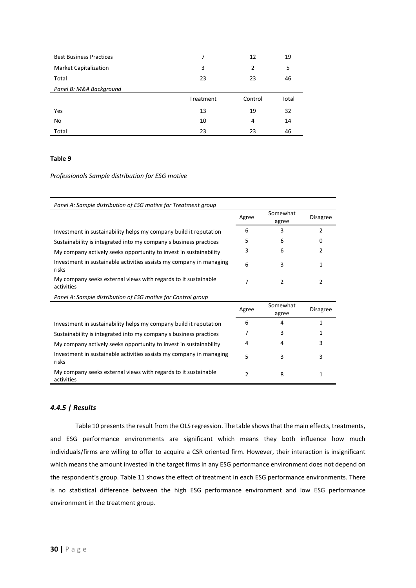| <b>Best Business Practices</b> | 7         | 12             | 19    |
|--------------------------------|-----------|----------------|-------|
| <b>Market Capitalization</b>   | 3         | $\overline{2}$ | 5     |
| Total                          | 23        | 23             | 46    |
| Panel B: M&A Background        |           |                |       |
|                                |           |                |       |
|                                | Treatment | Control        | Total |
| Yes                            | 13        | 19             | 32    |
| No                             | 10        | 4              | 14    |

#### <span id="page-29-1"></span>**Table 9**

#### *Professionals Sample distribution for ESG motive*

| Panel A: Sample distribution of ESG motive for Treatment group               |               |                   |                 |
|------------------------------------------------------------------------------|---------------|-------------------|-----------------|
|                                                                              | Agree         | Somewhat<br>agree | <b>Disagree</b> |
| Investment in sustainability helps my company build it reputation            | 6             | 3                 | 2               |
| Sustainability is integrated into my company's business practices            | 5             | 6                 | 0               |
| My company actively seeks opportunity to invest in sustainability            | 3             | 6                 | $\mathfrak{p}$  |
| Investment in sustainable activities assists my company in managing<br>risks | 6             | 3                 | 1               |
| My company seeks external views with regards to it sustainable<br>activities | 7             | 2                 | 2               |
| Panel A: Sample distribution of ESG motive for Control group                 |               |                   |                 |
|                                                                              | Agree         | Somewhat<br>agree | <b>Disagree</b> |
| Investment in sustainability helps my company build it reputation            | 6             | 4                 | 1               |
| Sustainability is integrated into my company's business practices            | 7             | 3                 | 1               |
| My company actively seeks opportunity to invest in sustainability            | 4             | 4                 | 3               |
| Investment in sustainable activities assists my company in managing<br>risks | 5             | 3                 | 3               |
| My company seeks external views with regards to it sustainable<br>activities | $\mathcal{P}$ | 8                 | 1               |

# <span id="page-29-0"></span>*4.4.5 | Results*

[Table 10](#page-31-0) presents the result from the OLS regression. The table shows that the main effects, treatments, and ESG performance environments are significant which means they both influence how much individuals/firms are willing to offer to acquire a CSR oriented firm. However, their interaction is insignificant which means the amount invested in the target firms in any ESG performance environment does not depend on the respondent's group. [Table 11](#page-31-1) shows the effect of treatment in each ESG performance environments. There is no statistical difference between the high ESG performance environment and low ESG performance environment in the treatment group.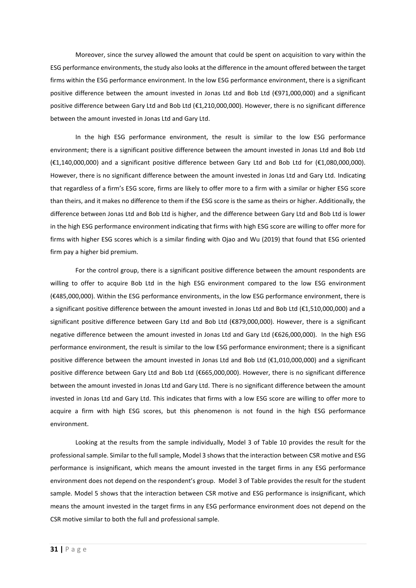Moreover, since the survey allowed the amount that could be spent on acquisition to vary within the ESG performance environments, the study also looks at the difference in the amount offered between the target firms within the ESG performance environment. In the low ESG performance environment, there is a significant positive difference between the amount invested in Jonas Ltd and Bob Ltd (€971,000,000) and a significant positive difference between Gary Ltd and Bob Ltd (€1,210,000,000). However, there is no significant difference between the amount invested in Jonas Ltd and Gary Ltd.

In the high ESG performance environment, the result is similar to the low ESG performance environment; there is a significant positive difference between the amount invested in Jonas Ltd and Bob Ltd (€1,140,000,000) and a significant positive difference between Gary Ltd and Bob Ltd for (€1,080,000,000). However, there is no significant difference between the amount invested in Jonas Ltd and Gary Ltd. Indicating that regardless of a firm's ESG score, firms are likely to offer more to a firm with a similar or higher ESG score than theirs, and it makes no difference to them if the ESG score is the same as theirs or higher. Additionally, the difference between Jonas Ltd and Bob Ltd is higher, and the difference between Gary Ltd and Bob Ltd is lower in the high ESG performance environment indicating that firms with high ESG score are willing to offer more for firms with higher ESG scores which is a similar finding with Ojao and Wu (2019) that found that ESG oriented firm pay a higher bid premium.

For the control group, there is a significant positive difference between the amount respondents are willing to offer to acquire Bob Ltd in the high ESG environment compared to the low ESG environment (€485,000,000). Within the ESG performance environments, in the low ESG performance environment, there is a significant positive difference between the amount invested in Jonas Ltd and Bob Ltd (€1,510,000,000) and a significant positive difference between Gary Ltd and Bob Ltd (€879,000,000). However, there is a significant negative difference between the amount invested in Jonas Ltd and Gary Ltd (€626,000,000). In the high ESG performance environment, the result is similar to the low ESG performance environment; there is a significant positive difference between the amount invested in Jonas Ltd and Bob Ltd (€1,010,000,000) and a significant positive difference between Gary Ltd and Bob Ltd (€665,000,000). However, there is no significant difference between the amount invested in Jonas Ltd and Gary Ltd. There is no significant difference between the amount invested in Jonas Ltd and Gary Ltd. This indicates that firms with a low ESG score are willing to offer more to acquire a firm with high ESG scores, but this phenomenon is not found in the high ESG performance environment.

Looking at the results from the sample individually, Model 3 of [Table 10](#page-31-0) provides the result for the professional sample. Similar to the full sample, Model 3 shows that the interaction between CSR motive and ESG performance is insignificant, which means the amount invested in the target firms in any ESG performance environment does not depend on the respondent's group. Model 3 of Table provides the result for the student sample. Model 5 shows that the interaction between CSR motive and ESG performance is insignificant, which means the amount invested in the target firms in any ESG performance environment does not depend on the CSR motive similar to both the full and professional sample.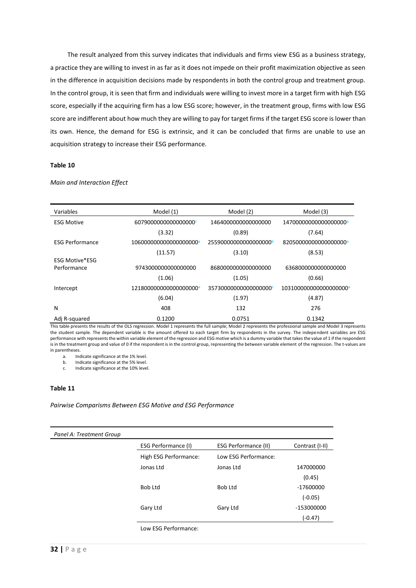The result analyzed from this survey indicates that individuals and firms view ESG as a business strategy, a practice they are willing to invest in as far as it does not impede on their profit maximization objective as seen in the difference in acquisition decisions made by respondents in both the control group and treatment group. In the control group, it is seen that firm and individuals were willing to invest more in a target firm with high ESG score, especially if the acquiring firm has a low ESG score; however, in the treatment group, firms with low ESG score are indifferent about how much they are willing to pay for target firms if the target ESG score is lower than its own. Hence, the demand for ESG is extrinsic, and it can be concluded that firms are unable to use an acquisition strategy to increase their ESG performance.

# <span id="page-31-0"></span>**Table 10**

| Variables              | Model (1)                          | Model (2)                         | Model (3)              |
|------------------------|------------------------------------|-----------------------------------|------------------------|
| <b>ESG Motive</b>      | 60790000000000000000               | 1464000000000000000               | 14700000000000000000   |
|                        | (3.32)                             | (0.89)                            | (7.64)                 |
| <b>ESG Performance</b> | 106000000000000000000 <sup>a</sup> | 25590000000000000000 <sup>b</sup> | 820500000000000000000  |
|                        | (11.57)                            | (3.10)                            | (8.53)                 |
| <b>ESG Motive*ESG</b>  |                                    |                                   |                        |
| Performance            | 9743000000000000000                | 8680000000000000000               | 6368000000000000000    |
|                        | (1.06)                             | (1.05)                            | (0.66)                 |
| Intercept              | 121800000000000000000 <sup>a</sup> | 35730000000000000000              | 1031000000000000000000 |
|                        | (6.04)                             | (1.97)                            | (4.87)                 |
| N                      | 408                                | 132                               | 276                    |
| Adj R-squared          | 0.1200                             | 0.0751                            | 0.1342                 |

*Main and Interaction Effect*

This table presents the results of the OLS regression. Model 1 represents the full sample; Model 2 represents the professional sample and Model 3 represents the student sample. The dependent variable is the amount offered to each target firm by respondents in the survey. The independent variables are ESG performance with represents the within variable element of the regression and ESG motive which is a dummy variable that takes the value of 1 if the respondent is in the treatment group and value of 0 if the respondent is in the control group, representing the between variable element of the regression. The t-values are in parentheses.

a. Indicate significance at the 1% level.

b. Indicate significance at the 5% level.

c. Indicate significance at the 10% level.

#### <span id="page-31-1"></span>**Table 11**

*Pairwise Comparisms Between ESG Motive and ESG Performance*

| Panel A: Treatment Group |                       |                             |                 |
|--------------------------|-----------------------|-----------------------------|-----------------|
|                          | ESG Performance (I)   | <b>ESG Performance (II)</b> | Contrast (I-II) |
|                          | High ESG Performance: | Low ESG Performance:        |                 |
|                          | Jonas Ltd             | Jonas Ltd                   | 147000000       |
|                          |                       |                             | (0.45)          |
|                          | <b>Bob Ltd</b>        | Bob Ltd                     | -17600000       |
|                          |                       |                             | $(-0.05)$       |
|                          | Gary Ltd              | Gary Ltd                    | -153000000      |
|                          |                       |                             | (-0.47)         |
|                          | Low ESG Performance:  |                             |                 |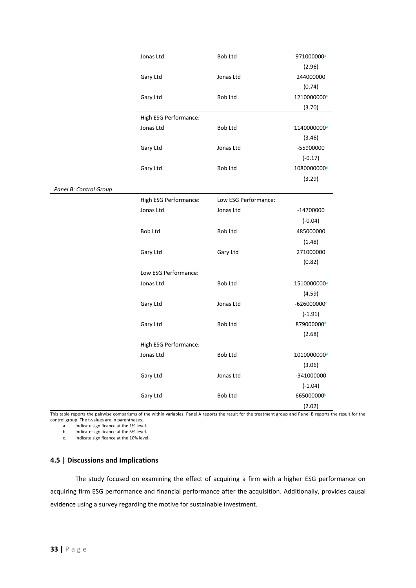|                        | Jonas Ltd             | <b>Bob Ltd</b>       | 971000000 <sup>a</sup>  |
|------------------------|-----------------------|----------------------|-------------------------|
|                        |                       |                      | (2.96)                  |
|                        | Gary Ltd              | Jonas Ltd            | 244000000               |
|                        |                       |                      | (0.74)                  |
|                        | Gary Ltd              | Bob Ltd              | 1210000000a             |
|                        |                       |                      | (3.70)                  |
|                        | High ESG Performance: |                      |                         |
|                        | Jonas Ltd             | Bob Ltd              | 1140000000a             |
|                        |                       |                      | (3.46)                  |
|                        | Gary Ltd              | Jonas Ltd            | -55900000               |
|                        |                       |                      | $(-0.17)$               |
|                        | Gary Ltd              | Bob Ltd              | 1080000000a             |
|                        |                       |                      | (3.29)                  |
| Panel B: Control Group |                       |                      |                         |
|                        | High ESG Performance: | Low ESG Performance: |                         |
|                        | Jonas Ltd             | Jonas Ltd            | $-14700000$             |
|                        |                       |                      | $(-0.04)$               |
|                        | Bob Ltd               | Bob Ltd              | 485000000               |
|                        |                       |                      | (1.48)                  |
|                        | Gary Ltd              | Gary Ltd             | 271000000               |
|                        |                       |                      | (0.82)                  |
|                        | Low ESG Performance:  |                      |                         |
|                        | Jonas Ltd             | Bob Ltd              | 1510000000 <sup>a</sup> |
|                        |                       |                      | (4.59)                  |
|                        | Gary Ltd              | Jonas Ltd            | $-626000000c$           |
|                        |                       |                      | $(-1.91)$               |
|                        | Gary Ltd              | Bob Ltd              | 879000000 <sup>a</sup>  |
|                        |                       |                      | (2.68)                  |
|                        | High ESG Performance: |                      |                         |
|                        | Jonas Ltd             | <b>Bob Ltd</b>       | 1010000000a             |
|                        |                       |                      | (3.06)                  |
|                        | Gary Ltd              | Jonas Ltd            | -341000000              |
|                        |                       |                      | $(-1.04)$               |
|                        |                       | Bob Ltd              | 665000000 <sup>b</sup>  |
|                        | Gary Ltd              |                      |                         |
|                        |                       |                      | (2.02)                  |

This table reports the pairwise comparisms of the within variables. Panel A reports the result for the treatment group and Panel B reports the result for the control group. The t-values are in parentheses.

a. Indicate significance at the 1% level.

b. Indicate significance at the 5% level.

c. Indicate significance at the 10% level.

# <span id="page-32-0"></span>**4.5 | Discussions and Implications**

The study focused on examining the effect of acquiring a firm with a higher ESG performance on acquiring firm ESG performance and financial performance after the acquisition. Additionally, provides causal evidence using a survey regarding the motive for sustainable investment.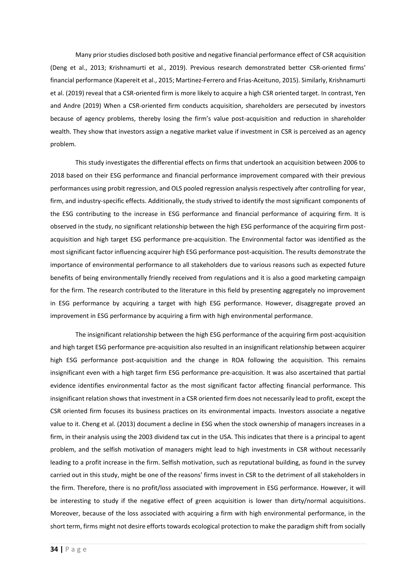Many prior studies disclosed both positive and negative financial performance effect of CSR acquisition (Deng et al., 2013; Krishnamurti et al., 2019). Previous research demonstrated better CSR-oriented firms' financial performance (Kapereit et al., 2015; Martinez-Ferrero and Frias-Aceituno, 2015). Similarly, Krishnamurti et al. (2019) reveal that a CSR-oriented firm is more likely to acquire a high CSR oriented target. In contrast, Yen and Andre (2019) When a CSR-oriented firm conducts acquisition, shareholders are persecuted by investors because of agency problems, thereby losing the firm's value post-acquisition and reduction in shareholder wealth. They show that investors assign a negative market value if investment in CSR is perceived as an agency problem.

This study investigates the differential effects on firms that undertook an acquisition between 2006 to 2018 based on their ESG performance and financial performance improvement compared with their previous performances using probit regression, and OLS pooled regression analysis respectively after controlling for year, firm, and industry-specific effects. Additionally, the study strived to identify the most significant components of the ESG contributing to the increase in ESG performance and financial performance of acquiring firm. It is observed in the study, no significant relationship between the high ESG performance of the acquiring firm postacquisition and high target ESG performance pre-acquisition. The Environmental factor was identified as the most significant factor influencing acquirer high ESG performance post-acquisition. The results demonstrate the importance of environmental performance to all stakeholders due to various reasons such as expected future benefits of being environmentally friendly received from regulations and it is also a good marketing campaign for the firm. The research contributed to the literature in this field by presenting aggregately no improvement in ESG performance by acquiring a target with high ESG performance. However, disaggregate proved an improvement in ESG performance by acquiring a firm with high environmental performance.

The insignificant relationship between the high ESG performance of the acquiring firm post-acquisition and high target ESG performance pre-acquisition also resulted in an insignificant relationship between acquirer high ESG performance post-acquisition and the change in ROA following the acquisition. This remains insignificant even with a high target firm ESG performance pre-acquisition. It was also ascertained that partial evidence identifies environmental factor as the most significant factor affecting financial performance. This insignificant relation shows that investment in a CSR oriented firm does not necessarily lead to profit, except the CSR oriented firm focuses its business practices on its environmental impacts. Investors associate a negative value to it. Cheng et al. (2013) document a decline in ESG when the stock ownership of managers increases in a firm, in their analysis using the 2003 dividend tax cut in the USA. This indicates that there is a principal to agent problem, and the selfish motivation of managers might lead to high investments in CSR without necessarily leading to a profit increase in the firm. Selfish motivation, such as reputational building, as found in the survey carried out in this study, might be one of the reasons' firms invest in CSR to the detriment of all stakeholders in the firm. Therefore, there is no profit/loss associated with improvement in ESG performance. However, it will be interesting to study if the negative effect of green acquisition is lower than dirty/normal acquisitions. Moreover, because of the loss associated with acquiring a firm with high environmental performance, in the short term, firms might not desire efforts towards ecological protection to make the paradigm shift from socially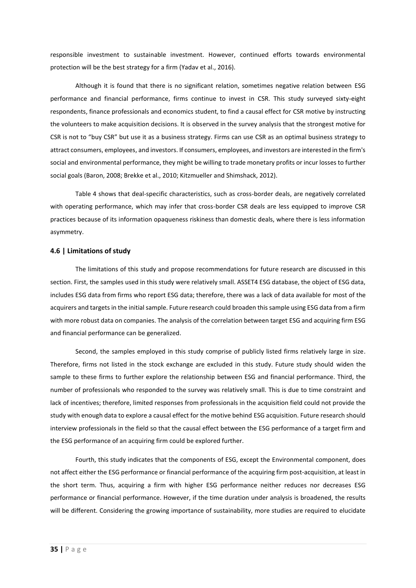responsible investment to sustainable investment. However, continued efforts towards environmental protection will be the best strategy for a firm (Yadav et al., 2016).

Although it is found that there is no significant relation, sometimes negative relation between ESG performance and financial performance, firms continue to invest in CSR. This study surveyed sixty-eight respondents, finance professionals and economics student, to find a causal effect for CSR motive by instructing the volunteers to make acquisition decisions. It is observed in the survey analysis that the strongest motive for CSR is not to "buy CSR" but use it as a business strategy. Firms can use CSR as an optimal business strategy to attract consumers, employees, and investors. If consumers, employees, and investors are interested in the firm's social and environmental performance, they might be willing to trade monetary profits or incur losses to further social goals (Baron, 2008; Brekke et al., 2010; Kitzmueller and Shimshack, 2012).

[Table 4](#page-20-0) shows that deal-specific characteristics, such as cross-border deals, are negatively correlated with operating performance, which may infer that cross-border CSR deals are less equipped to improve CSR practices because of its information opaqueness riskiness than domestic deals, where there is less information asymmetry.

#### <span id="page-34-0"></span>**4.6 | Limitations of study**

The limitations of this study and propose recommendations for future research are discussed in this section. First, the samples used in this study were relatively small. ASSET4 ESG database, the object of ESG data, includes ESG data from firms who report ESG data; therefore, there was a lack of data available for most of the acquirers and targets in the initial sample. Future research could broaden this sample using ESG data from a firm with more robust data on companies. The analysis of the correlation between target ESG and acquiring firm ESG and financial performance can be generalized.

Second, the samples employed in this study comprise of publicly listed firms relatively large in size. Therefore, firms not listed in the stock exchange are excluded in this study. Future study should widen the sample to these firms to further explore the relationship between ESG and financial performance. Third, the number of professionals who responded to the survey was relatively small. This is due to time constraint and lack of incentives; therefore, limited responses from professionals in the acquisition field could not provide the study with enough data to explore a causal effect for the motive behind ESG acquisition. Future research should interview professionals in the field so that the causal effect between the ESG performance of a target firm and the ESG performance of an acquiring firm could be explored further.

Fourth, this study indicates that the components of ESG, except the Environmental component, does not affect either the ESG performance or financial performance of the acquiring firm post-acquisition, at least in the short term. Thus, acquiring a firm with higher ESG performance neither reduces nor decreases ESG performance or financial performance. However, if the time duration under analysis is broadened, the results will be different. Considering the growing importance of sustainability, more studies are required to elucidate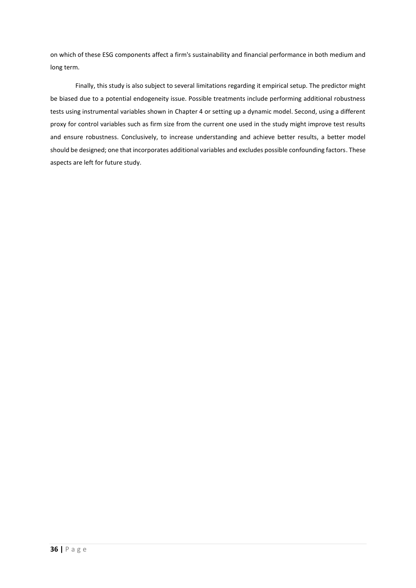on which of these ESG components affect a firm's sustainability and financial performance in both medium and long term.

Finally, this study is also subject to several limitations regarding it empirical setup. The predictor might be biased due to a potential endogeneity issue. Possible treatments include performing additional robustness tests using instrumental variables shown in [Chapter 4](#page-21-0) or setting up a dynamic model. Second, using a different proxy for control variables such as firm size from the current one used in the study might improve test results and ensure robustness. Conclusively, to increase understanding and achieve better results, a better model should be designed; one that incorporates additional variables and excludes possible confounding factors. These aspects are left for future study.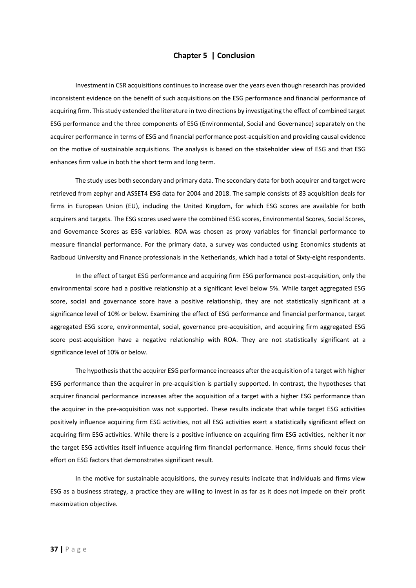# **Chapter 5 | Conclusion**

<span id="page-36-0"></span>Investment in CSR acquisitions continues to increase over the years even though research has provided inconsistent evidence on the benefit of such acquisitions on the ESG performance and financial performance of acquiring firm. This study extended the literature in two directions by investigating the effect of combined target ESG performance and the three components of ESG (Environmental, Social and Governance) separately on the acquirer performance in terms of ESG and financial performance post-acquisition and providing causal evidence on the motive of sustainable acquisitions. The analysis is based on the stakeholder view of ESG and that ESG enhances firm value in both the short term and long term.

The study uses both secondary and primary data. The secondary data for both acquirer and target were retrieved from zephyr and ASSET4 ESG data for 2004 and 2018. The sample consists of 83 acquisition deals for firms in European Union (EU), including the United Kingdom, for which ESG scores are available for both acquirers and targets. The ESG scores used were the combined ESG scores, Environmental Scores, Social Scores, and Governance Scores as ESG variables. ROA was chosen as proxy variables for financial performance to measure financial performance. For the primary data, a survey was conducted using Economics students at Radboud University and Finance professionals in the Netherlands, which had a total of Sixty-eight respondents.

In the effect of target ESG performance and acquiring firm ESG performance post-acquisition, only the environmental score had a positive relationship at a significant level below 5%. While target aggregated ESG score, social and governance score have a positive relationship, they are not statistically significant at a significance level of 10% or below. Examining the effect of ESG performance and financial performance, target aggregated ESG score, environmental, social, governance pre-acquisition, and acquiring firm aggregated ESG score post-acquisition have a negative relationship with ROA. They are not statistically significant at a significance level of 10% or below.

The hypothesis that the acquirer ESG performance increases after the acquisition of a target with higher ESG performance than the acquirer in pre-acquisition is partially supported. In contrast, the hypotheses that acquirer financial performance increases after the acquisition of a target with a higher ESG performance than the acquirer in the pre-acquisition was not supported. These results indicate that while target ESG activities positively influence acquiring firm ESG activities, not all ESG activities exert a statistically significant effect on acquiring firm ESG activities. While there is a positive influence on acquiring firm ESG activities, neither it nor the target ESG activities itself influence acquiring firm financial performance. Hence, firms should focus their effort on ESG factors that demonstrates significant result.

In the motive for sustainable acquisitions, the survey results indicate that individuals and firms view ESG as a business strategy, a practice they are willing to invest in as far as it does not impede on their profit maximization objective.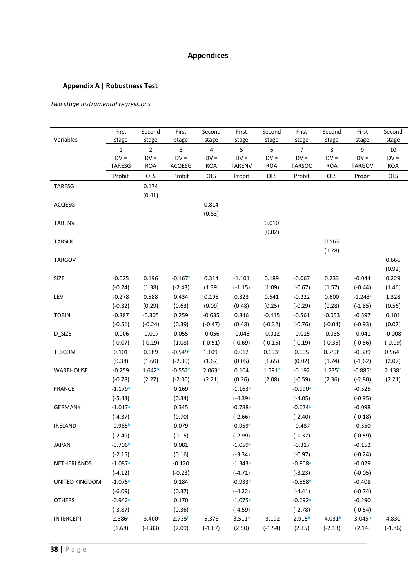# **Appendices**

# <span id="page-37-1"></span><span id="page-37-0"></span>**Appendix A| Robustness Test**

# *Two stage instrumental regressions*

| Variables             | First<br>stage | Second<br>stage    | First<br>stage          | Second<br>stage    | First<br>stage     | Second<br>stage    | First<br>stage     | Second<br>stage    | First<br>stage     | Second<br>stage    |
|-----------------------|----------------|--------------------|-------------------------|--------------------|--------------------|--------------------|--------------------|--------------------|--------------------|--------------------|
|                       | 1              | $\overline{2}$     | $\overline{\mathbf{3}}$ | 4                  | 5                  | $\boldsymbol{6}$   | $\overline{7}$     | 8                  | 9                  | $10\,$             |
|                       | $DV =$         | $DV =$             | $DV =$                  | $DV =$             | $DV =$             | $DV =$             | $DV =$             | $DV =$             | $DV =$             | $DV =$             |
|                       | TARESG         | <b>ROA</b>         | ACQESG                  | <b>ROA</b>         | <b>TARENV</b>      | <b>ROA</b>         | <b>TARSOC</b>      | <b>ROA</b>         | <b>TARGOV</b>      | <b>ROA</b>         |
|                       | Probit         | OLS                | Probit                  | OLS                | Probit             | OLS                | Probit             | OLS                | Probit             | OLS                |
| <b>TARESG</b>         |                | 0.174              |                         |                    |                    |                    |                    |                    |                    |                    |
|                       |                | (0.41)             |                         |                    |                    |                    |                    |                    |                    |                    |
| ACQESG                |                |                    |                         | 0.814              |                    |                    |                    |                    |                    |                    |
|                       |                |                    |                         | (0.83)             |                    |                    |                    |                    |                    |                    |
| TARENV                |                |                    |                         |                    |                    | 0.010              |                    |                    |                    |                    |
|                       |                |                    |                         |                    |                    | (0.02)             |                    |                    |                    |                    |
| TARSOC                |                |                    |                         |                    |                    |                    |                    | 0.563              |                    |                    |
|                       |                |                    |                         |                    |                    |                    |                    | (1.28)             |                    |                    |
| <b>TARGOV</b>         |                |                    |                         |                    |                    |                    |                    |                    |                    | 0.666              |
|                       |                |                    |                         |                    |                    |                    |                    |                    |                    | (0.92)             |
| SIZE                  | $-0.025$       | 0.196              | $-0.167b$               | 0.314              | $-1.101$           | 0.189              | $-0.067$           | 0.233              | $-0.044$           | 0.229              |
|                       | $(-0.24)$      | (1.38)             | $(-2.43)$               | (1.39)             | $(-1.15)$          | (1.09)             | $(-0.67)$          | (1.57)             | $(-0.44)$          | (1.46)             |
| LEV                   | $-0.278$       | 0.588              | 0.434                   | 0.198              | 0.323              | 0.541              | $-0.222$           | 0.600              | $-1.243c$          | 1.328              |
|                       | $(-0.32)$      | (0.29)             | (0.63)                  | (0.09)             | (0.48)             | (0.25)             | $(-0.29)$          | (0.28)             | $(-1.85)$          | (0.56)             |
| <b>TOBIN</b>          | $-0.387$       | $-0.305$           | 0.259                   | $-0.635$           | 0.346              | $-0.415$           | $-0.561$           | $-0.053$           | $-0.597$           | 0.101              |
|                       | $(-0.51)$      | $(-0.24)$          | (0.39)                  | $(-0.47)$          | (0.48)             | $(-0.32)$          | $(-0.76)$          | $(-0.04)$          | $(-0.93)$          | (0.07)             |
| D_SIZE                | $-0.006$       | $-0.017$           | 0.055                   | $-0.056$           | $-0.046$           | $-0.012$           | $-0.015$           | $-0.035$           | $-0.041$           | $-0.008$           |
|                       | $(-0.07)$      | $(-0.19)$          | (1.08)                  | $(-0.51)$          | $(-0.69)$          | $(-0.15)$          | $(-0.19)$          | $(-0.35)$          | $(-0.56)$          | $(-0.09)$          |
| <b>TELCOM</b>         | 0.101          | 0.689              | $-0.549b$               | 1.109c             | 0.012              | 0.693c             | 0.005              | 0.753c             | $-0.389$           | 0.964 <sup>b</sup> |
|                       | (0.38)         | (1.60)             | $(-2.30)$               | (1.67)             | (0.05)             | (1.65)             | (0.02)             | (1.74)             | $(-1,62)$          | (2.07)             |
| WAREHOUSE             | $-0.259$       | 1.642 <sup>b</sup> | $-0.552b$               | 2.063 <sup>b</sup> | 0.104              | 1.591 <sup>b</sup> | $-0.192$           | 1.735 <sup>b</sup> | $-0.885a$          | 2.138 <sup>b</sup> |
|                       | $(-0.78)$      | (2.27)             | $(-2.00)$               | (2.21)             | (0.26)             | (2.08)             | $(-0.59)$          | (2.36)             | $(-2.80)$          | (2.21)             |
| <b>FRANCE</b>         | $-1.179a$      |                    | 0.169                   |                    | $-1.163a$          |                    | $-0.990a$          |                    | $-0.525$           |                    |
|                       | $(-5.43)$      |                    | (0.34)                  |                    | $(-4.39)$          |                    | $(-4.05)$          |                    | $(-0.95)$          |                    |
| <b>GERMANY</b>        | $-1.017a$      |                    | 0.345                   |                    | $-0.788a$          |                    | $-0.624b$          |                    | $-0.098$           |                    |
|                       | $(-4.37)$      |                    | (0.70)                  |                    | $(-2.66)$          |                    | $(-2.40)$          |                    | $(-0.18)$          |                    |
| <b>IRELAND</b>        | $-0.985b$      |                    | 0.079                   |                    | $-0.959a$          |                    | $-0.487$           |                    | $-0.350$           |                    |
|                       | $(-2.49)$      |                    | (0.15)                  |                    | $(-2.99)$          |                    | $(-1.37)$          |                    | $(-0.59)$          |                    |
| <b>JAPAN</b>          | $-0.706b$      |                    | 0.081                   |                    | $-1.059a$          |                    | $-0.317$           |                    | $-0.152$           |                    |
|                       | $(-2.15)$      |                    | (0.16)                  |                    | $(-3.34)$          |                    | $(-0.97)$          |                    | $(-0.24)$          |                    |
| NETHERLANDS           | $-1.087a$      |                    | $-0.120$                |                    | $-1.343a$          |                    | $-0.968a$          |                    | $-0.029$           |                    |
|                       | $(-4.12)$      |                    | $(-0.23)$               |                    | $(-4.71)$          |                    | $(-3.23)$          |                    | $(-0.05)$          |                    |
| <b>UNITED KINGDOM</b> | $-1.075a$      |                    | 0.184                   |                    | $-0.933a$          |                    | $-0.868a$          |                    | $-0.408$           |                    |
|                       | $(-6.09)$      |                    | (0.37)                  |                    | $(-4.22)$          |                    | $(-4.41)$          |                    | $(-0.74)$          |                    |
| <b>OTHERS</b>         | $-0.942a$      |                    | 0.170                   |                    | $-1.075a$          |                    | $-0.692a$          |                    | $-0.290$           |                    |
|                       |                |                    |                         |                    |                    |                    |                    |                    |                    |                    |
|                       | $(-3.87)$      |                    | (0.36)                  | $-5.378c$          | $(-4.59)$          |                    | $(-2.78)$          |                    | $(-0.54)$          |                    |
| <b>INTERCEPT</b>      | 2.386c         | $-3.400c$          | 2.735 <sup>b</sup>      |                    | 3.511 <sup>b</sup> | $-3.192$           | 2.915 <sup>b</sup> | $-4.031b$          | 3.045 <sup>b</sup> | $-4.830c$          |
|                       | (1.68)         | $(-1.83)$          | (2.09)                  | $(-1.67)$          | (2.50)             | $(-1.54)$          | (2.15)             | $(-2.13)$          | (2.14)             | $(-1.86)$          |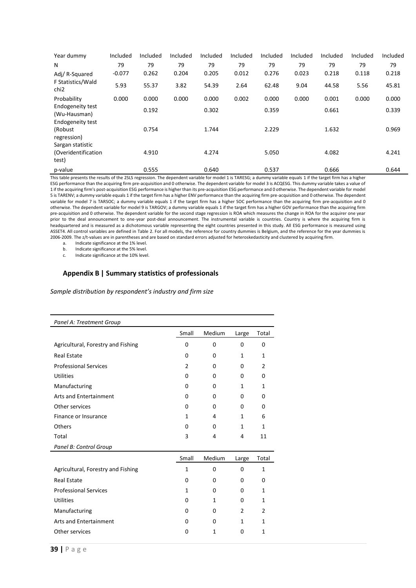| Year dummy                                        | Included | Included | Included | Included | Included | Included | Included | Included | Included | Included |
|---------------------------------------------------|----------|----------|----------|----------|----------|----------|----------|----------|----------|----------|
| N                                                 | 79       | 79       | 79       | 79       | 79       | 79       | 79       | 79       | 79       | 79       |
| Adj/R-Squared                                     | $-0.077$ | 0.262    | 0.204    | 0.205    | 0.012    | 0.276    | 0.023    | 0.218    | 0.118    | 0.218    |
| F Statistics/Wald<br>chi <sub>2</sub>             | 5.93     | 55.37    | 3.82     | 54.39    | 2.64     | 62.48    | 9.04     | 44.58    | 5.56     | 45.81    |
| Probability                                       | 0.000    | 0.000    | 0.000    | 0.000    | 0.002    | 0.000    | 0.000    | 0.001    | 0.000    | 0.000    |
| <b>Endogeneity test</b><br>(Wu-Hausman)           |          | 0.192    |          | 0.302    |          | 0.359    |          | 0.661    |          | 0.339    |
| <b>Endogeneity test</b><br>(Robust<br>regression) |          | 0.754    |          | 1.744    |          | 2.229    |          | 1.632    |          | 0.969    |
| Sargan statistic<br>(Overidentification<br>test)  |          | 4.910    |          | 4.274    |          | 5.050    |          | 4.082    |          | 4.241    |
| p-value                                           |          | 0.555    |          | 0.640    |          | 0.537    |          | 0.666    |          | 0.644    |

This table presents the results of the 2SLS regression. The dependent variable for model 1 is TARESG; a dummy variable equals 1 if the target firm has a higher ESG performance than the acquiring firm pre-acquisition and 0 otherwise. The dependent variable for model 3 is ACQESG. This dummy variable takes a value of 1 if the acquiring firm's post-acquisition ESG performance is higher than its pre-acquisition ESG performance and 0 otherwise. The dependent variable for model 5 is TARENV; a dummy variable equals 1 if the target firm has a higher ENV performance than the acquiring firm pre-acquisition and 0 otherwise. The dependent variable for model 7 is TARSOC; a dummy variable equals 1 if the target firm has a higher SOC performance than the acquiring firm pre-acquisition and 0 otherwise. The dependent variable for model 9 is TARGOV; a dummy variable equals 1 if the target firm has a higher GOV performance than the acquiring firm pre-acquisition and 0 otherwise. The dependent variable for the second stage regression is ROA which measures the change in ROA for the acquirer one year prior to the deal announcement to one-year post-deal announcement. The instrumental variable is countries. Country is where the acquiring firm is headquartered and is measured as a dichotomous variable representing the eight countries presented in this study. All ESG performance is measured using ASSET4. All control variables are defined in [Table 2.](#page-14-1) For all models, the reference for country dummies is Belgium, and the reference for the year dummies is 2006-2009. The z/t-values are in parentheses and are based on standard errors adjusted for heteroskedasticity and clustered by acquiring firm.

a. Indicate significance at the 1% level.

b. Indicate significance at the 5% level.<br>c. Indicate significance at the 10% leve

Indicate significance at the 10% level.

# <span id="page-38-0"></span>**Appendix B | Summary statistics of professionals**

*Sample distribution by respondent's industry and firm size*

| Panel A: Treatment Group           |                |          |                |                |
|------------------------------------|----------------|----------|----------------|----------------|
|                                    | Small          | Medium   | Large          | Total          |
| Agricultural, Forestry and Fishing | 0              | $\Omega$ | 0              | 0              |
| <b>Real Estate</b>                 | $\Omega$       | 0        | 1              | $\mathbf{1}$   |
| <b>Professional Services</b>       | $\overline{2}$ | $\Omega$ | $\Omega$       | $\overline{2}$ |
| <b>Utilities</b>                   | 0              | 0        | 0              | $\Omega$       |
| Manufacturing                      | $\Omega$       | 0        | 1              | $\mathbf{1}$   |
| <b>Arts and Entertainment</b>      | 0              | 0        | 0              | 0              |
| Other services                     | 0              | 0        | 0              | 0              |
| Finance or Insurance               | 1              | 4        | 1              | 6              |
| Others                             | 0              | 0        | 1              | $\mathbf{1}$   |
| Total                              | 3              | 4        | 4              | 11             |
| Panel B: Control Group             |                |          |                |                |
|                                    | Small          | Medium   | Large          | Total          |
| Agricultural, Forestry and Fishing | $\mathbf{1}$   | $\Omega$ | $\Omega$       | $\mathbf{1}$   |
| <b>Real Estate</b>                 | 0              | 0        | 0              | 0              |
| <b>Professional Services</b>       | 1              | $\Omega$ | $\Omega$       | 1              |
| <b>Utilities</b>                   | <sup>0</sup>   | 1        | 0              | 1              |
| Manufacturing                      | 0              | 0        | $\mathfrak{p}$ | $\mathcal{P}$  |
| Arts and Entertainment             | 0              | 0        | 1              | $\mathbf{1}$   |
| Other services                     | 0              | 1        | 0              | 1              |
|                                    |                |          |                |                |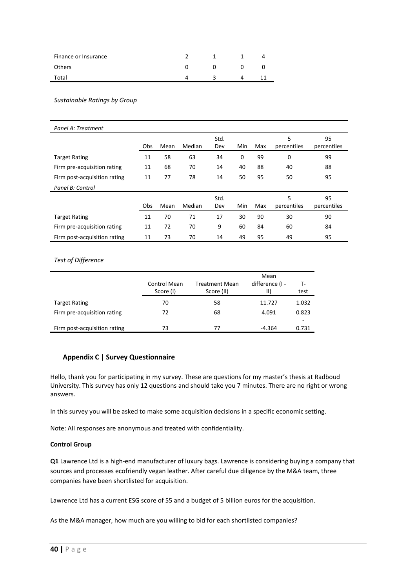| Finance or Insurance |  |  |
|----------------------|--|--|
| <b>Others</b>        |  |  |
| Total                |  |  |

*Sustainable Ratings by Group*

| Panel A: Treatment           |     |      |        |             |     |     |                  |                   |
|------------------------------|-----|------|--------|-------------|-----|-----|------------------|-------------------|
|                              | Obs | Mean | Median | Std.<br>Dev | Min | Max | 5<br>percentiles | 95<br>percentiles |
| <b>Target Rating</b>         | 11  | 58   | 63     | 34          | 0   | 99  | 0                | 99                |
| Firm pre-acquisition rating  | 11  | 68   | 70     | 14          | 40  | 88  | 40               | 88                |
| Firm post-acquisition rating | 11  | 77   | 78     | 14          | 50  | 95  | 50               | 95                |
| Panel B: Control             |     |      |        |             |     |     |                  |                   |
|                              | Obs | Mean | Median | Std.<br>Dev | Min | Max | 5<br>percentiles | 95<br>percentiles |
| <b>Target Rating</b>         | 11  | 70   | 71     | 17          | 30  | 90  | 30               | 90                |
| Firm pre-acquisition rating  | 11  | 72   | 70     | 9           | 60  | 84  | 60               | 84                |
| Firm post-acquisition rating | 11  | 73   | 70     | 14          | 49  | 95  | 49               | 95                |

# *Test of Difference*

|                              | Control Mean<br>Score (I) | <b>Treatment Mean</b><br>Score (II) | Mean<br>difference (I -<br>$\parallel$ | т-<br>test |
|------------------------------|---------------------------|-------------------------------------|----------------------------------------|------------|
| <b>Target Rating</b>         | 70                        | 58                                  | 11.727                                 | 1.032      |
| Firm pre-acquisition rating  | 72                        | 68                                  | 4.091                                  | 0.823      |
| Firm post-acquisition rating | 73                        | 77                                  | -4.364                                 | ۰<br>0.731 |

# <span id="page-39-0"></span>**Appendix C | Survey Questionnaire**

Hello, thank you for participating in my survey. These are questions for my master's thesis at Radboud University. This survey has only 12 questions and should take you 7 minutes. There are no right or wrong answers.

In this survey you will be asked to make some acquisition decisions in a specific economic setting.

Note: All responses are anonymous and treated with confidentiality.

# **Control Group**

**Q1** Lawrence Ltd is a high-end manufacturer of luxury bags. Lawrence is considering buying a company that sources and processes ecofriendly vegan leather. After careful due diligence by the M&A team, three companies have been shortlisted for acquisition.

Lawrence Ltd has a current ESG score of 55 and a budget of 5 billion euros for the acquisition.

As the M&A manager, how much are you willing to bid for each shortlisted companies?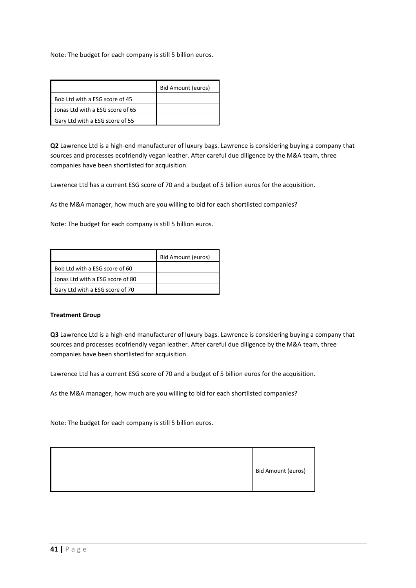Note: The budget for each company is still 5 billion euros.

|                                  | Bid Amount (euros) |
|----------------------------------|--------------------|
| Bob Ltd with a ESG score of 45   |                    |
| Jonas Ltd with a ESG score of 65 |                    |
| Gary Ltd with a ESG score of 55  |                    |

**Q2** Lawrence Ltd is a high-end manufacturer of luxury bags. Lawrence is considering buying a company that sources and processes ecofriendly vegan leather. After careful due diligence by the M&A team, three companies have been shortlisted for acquisition.

Lawrence Ltd has a current ESG score of 70 and a budget of 5 billion euros for the acquisition.

As the M&A manager, how much are you willing to bid for each shortlisted companies?

Note: The budget for each company is still 5 billion euros.

|                                  | Bid Amount (euros) |
|----------------------------------|--------------------|
| Bob Ltd with a ESG score of 60   |                    |
| Jonas Ltd with a ESG score of 80 |                    |
| Gary Ltd with a ESG score of 70  |                    |

# **Treatment Group**

**Q3** Lawrence Ltd is a high-end manufacturer of luxury bags. Lawrence is considering buying a company that sources and processes ecofriendly vegan leather. After careful due diligence by the M&A team, three companies have been shortlisted for acquisition.

Lawrence Ltd has a current ESG score of 70 and a budget of 5 billion euros for the acquisition.

As the M&A manager, how much are you willing to bid for each shortlisted companies?

Note: The budget for each company is still 5 billion euros.

| Bid Amount (euros) |
|--------------------|
|                    |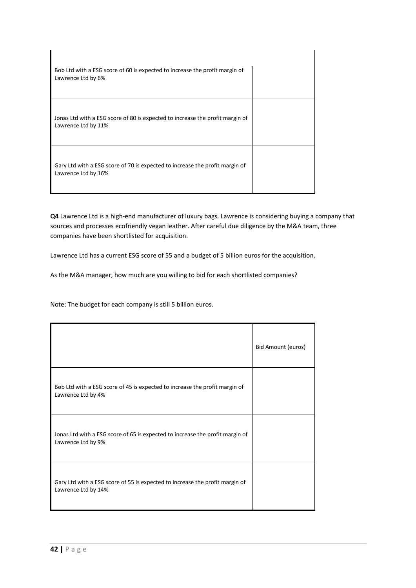

**Q4** Lawrence Ltd is a high-end manufacturer of luxury bags. Lawrence is considering buying a company that sources and processes ecofriendly vegan leather. After careful due diligence by the M&A team, three companies have been shortlisted for acquisition.

Lawrence Ltd has a current ESG score of 55 and a budget of 5 billion euros for the acquisition.

As the M&A manager, how much are you willing to bid for each shortlisted companies?

Note: The budget for each company is still 5 billion euros.

|                                                                                                     | Bid Amount (euros) |
|-----------------------------------------------------------------------------------------------------|--------------------|
| Bob Ltd with a ESG score of 45 is expected to increase the profit margin of<br>Lawrence Ltd by 4%   |                    |
| Jonas Ltd with a ESG score of 65 is expected to increase the profit margin of<br>Lawrence Ltd by 9% |                    |
| Gary Ltd with a ESG score of 55 is expected to increase the profit margin of<br>Lawrence Ltd by 14% |                    |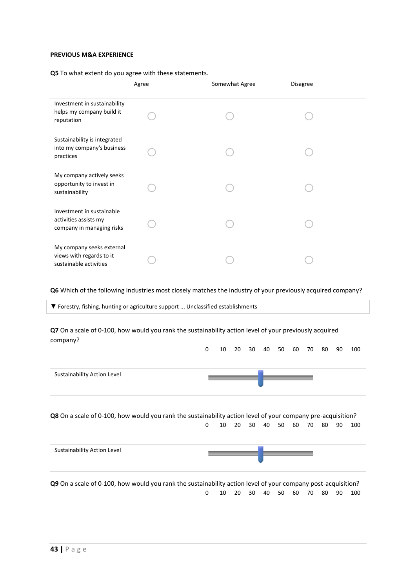# **PREVIOUS M&A EXPERIENCE**

**Q5** To what extent do you agree with these statements.

|                                                                                 | Agree | Somewhat Agree | <b>Disagree</b> |  |
|---------------------------------------------------------------------------------|-------|----------------|-----------------|--|
| Investment in sustainability<br>helps my company build it<br>reputation         |       |                |                 |  |
| Sustainability is integrated<br>into my company's business<br>practices         |       |                |                 |  |
| My company actively seeks<br>opportunity to invest in<br>sustainability         |       |                |                 |  |
| Investment in sustainable<br>activities assists my<br>company in managing risks |       |                |                 |  |
| My company seeks external<br>views with regards to it<br>sustainable activities |       |                |                 |  |

**Q6** Which of the following industries most closely matches the industry of your previously acquired company?

▼ Forestry, fishing, hunting or agriculture support ... Unclassified establishments

**Q7** On a scale of 0-100, how would you rank the sustainability action level of your previously acquired company?

|                             |  |  |  |  |  | 0 10 20 30 40 50 60 70 80 90 100 |
|-----------------------------|--|--|--|--|--|----------------------------------|
|                             |  |  |  |  |  |                                  |
| Sustainability Action Level |  |  |  |  |  |                                  |
|                             |  |  |  |  |  |                                  |

**Q8** On a scale of 0-100, how would you rank the sustainability action level of your company pre-acquisition? 0 10 20 30 40 50 60 70 80 90 100

| Sustainability Action Level |  |  |
|-----------------------------|--|--|
|                             |  |  |

**Q9** On a scale of 0-100, how would you rank the sustainability action level of your company post-acquisition? 0 10 20 30 40 50 60 70 80 90 100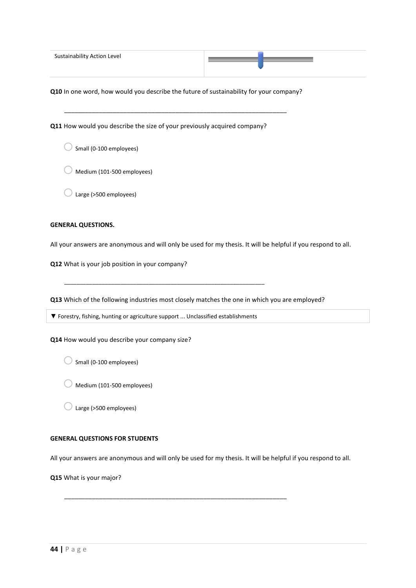| Sustainability Action Level |  |  |
|-----------------------------|--|--|
|                             |  |  |
|                             |  |  |

**Q10** In one word, how would you describe the future of sustainability for your company?

\_\_\_\_\_\_\_\_\_\_\_\_\_\_\_\_\_\_\_\_\_\_\_\_\_\_\_\_\_\_\_\_\_\_\_\_\_\_\_\_\_\_\_\_\_\_\_\_\_\_\_\_\_\_\_\_\_\_\_\_\_\_\_\_

**Q11** How would you describe the size of your previously acquired company?

 $\bigcirc$  Small (0-100 employees)

 $\sqrt{a}$  Medium (101-500 employees)

 $\overline{\phantom{a}}$  Large (>500 employees)

# **GENERAL QUESTIONS.**

All your answers are anonymous and will only be used for my thesis. It will be helpful if you respond to all.

**Q12** What is your job position in your company?

**Q13** Which of the following industries most closely matches the one in which you are employed?

▼ Forestry, fishing, hunting or agriculture support ... Unclassified establishments

\_\_\_\_\_\_\_\_\_\_\_\_\_\_\_\_\_\_\_\_\_\_\_\_\_\_\_\_\_\_\_\_\_\_\_\_\_\_\_\_\_\_\_\_\_\_\_\_\_\_\_\_\_\_\_\_\_\_\_\_\_\_\_\_

**Q14** How would you describe your company size?

 $\bigcirc$  Small (0-100 employees)

 $\bigcirc$  Medium (101-500 employees)

 $\bigcirc$  Large (>500 employees)

### **GENERAL QUESTIONS FOR STUDENTS**

All your answers are anonymous and will only be used for my thesis. It will be helpful if you respond to all.

\_\_\_\_\_\_\_\_\_\_\_\_\_\_\_\_\_\_\_\_\_\_\_\_\_\_\_\_\_\_\_\_\_\_\_\_\_\_\_\_\_\_\_\_\_\_\_\_\_\_\_\_\_\_\_\_\_\_\_\_\_\_\_\_

**Q15** What is your major?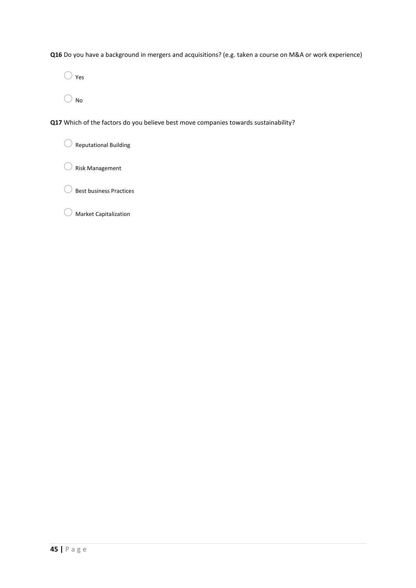**Q16** Do you have a background in mergers and acquisitions? (e.g. taken a course on M&A or work experience)

 $\bigcirc$  Yes

 $\bigcirc$  No

**Q17** Which of the factors do you believe best move companies towards sustainability?

 $\bigcirc$  Reputational Building

 $\bigcirc$  Risk Management

 $\bigcirc$  Best business Practices

o Market Capitalization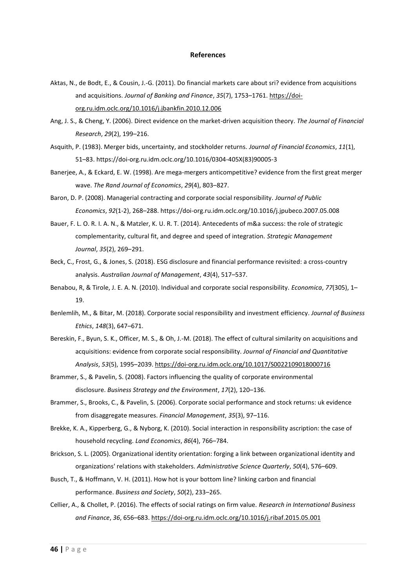#### **References**

- <span id="page-45-0"></span>Aktas, N., de Bodt, E., & Cousin, J.-G. (2011). Do financial markets care about sri? evidence from acquisitions and acquisitions. *Journal of Banking and Finance*, *35*(7), 1753–1761. [https://doi](https://doi-org.ru.idm.oclc.org/10.1016/j.jbankfin.2010.12.006)[org.ru.idm.oclc.org/10.1016/j.jbankfin.2010.12.006](https://doi-org.ru.idm.oclc.org/10.1016/j.jbankfin.2010.12.006)
- Ang, J. S., & Cheng, Y. (2006). Direct evidence on the market-driven acquisition theory. *The Journal of Financial Research*, *29*(2), 199–216.
- Asquith, P. (1983). Merger bids, uncertainty, and stockholder returns. *Journal of Financial Economics*, *11*(1), 51–83. https://doi-org.ru.idm.oclc.org/10.1016/0304-405X(83)90005-3
- Banerjee, A., & Eckard, E. W. (1998). Are mega-mergers anticompetitive? evidence from the first great merger wave. *The Rand Journal of Economics*, *29*(4), 803–827.
- Baron, D. P. (2008). Managerial contracting and corporate social responsibility. *Journal of Public Economics*, *92*(1-2), 268–288. https://doi-org.ru.idm.oclc.org/10.1016/j.jpubeco.2007.05.008
- Bauer, F. L. O. R. I. A. N., & Matzler, K. U. R. T. (2014). Antecedents of m&a success: the role of strategic complementarity, cultural fit, and degree and speed of integration. *Strategic Management Journal*, *35*(2), 269–291.
- Beck, C., Frost, G., & Jones, S. (2018). ESG disclosure and financial performance revisited: a cross-country analysis. *Australian Journal of Management*, *43*(4), 517–537.
- Benabou, R, & Tirole, J. E. A. N. (2010). Individual and corporate social responsibility. *Economica*, *77*(305), 1– 19.
- Benlemlih, M., & Bitar, M. (2018). Corporate social responsibility and investment efficiency. *Journal of Business Ethics*, *148*(3), 647–671.
- Bereskin, F., Byun, S. K., Officer, M. S., & Oh, J.-M. (2018). The effect of cultural similarity on acquisitions and acquisitions: evidence from corporate social responsibility. *Journal of Financial and Quantitative Analysis*, *53*(5), 1995–2039.<https://doi-org.ru.idm.oclc.org/10.1017/S0022109018000716>
- Brammer, S., & Pavelin, S. (2008). Factors influencing the quality of corporate environmental disclosure. *Business Strategy and the Environment*, *17*(2), 120–136.
- Brammer, S., Brooks, C., & Pavelin, S. (2006). Corporate social performance and stock returns: uk evidence from disaggregate measures. *Financial Management*, *35*(3), 97–116.
- Brekke, K. A., Kipperberg, G., & Nyborg, K. (2010). Social interaction in responsibility ascription: the case of household recycling. *Land Economics*, *86*(4), 766–784.
- Brickson, S. L. (2005). Organizational identity orientation: forging a link between organizational identity and organizations' relations with stakeholders. *Administrative Science Quarterly*, *50*(4), 576–609.
- Busch, T., & Hoffmann, V. H. (2011). How hot is your bottom line? linking carbon and financial performance. *Business and Society*, *50*(2), 233–265.
- Cellier, A., & Chollet, P. (2016). The effects of social ratings on firm value. *Research in International Business and Finance*, *36*, 656–683.<https://doi-org.ru.idm.oclc.org/10.1016/j.ribaf.2015.05.001>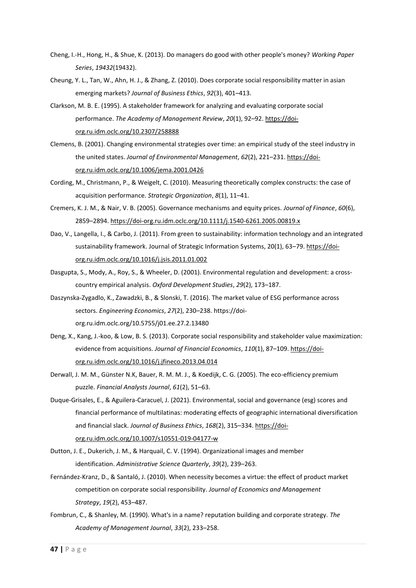- Cheng, I.-H., Hong, H., & Shue, K. (2013). Do managers do good with other people's money? *Working Paper Series*, *19432*(19432).
- Cheung, Y. L., Tan, W., Ahn, H. J., & Zhang, Z. (2010). Does corporate social responsibility matter in asian emerging markets? *Journal of Business Ethics*, *92*(3), 401–413.
- Clarkson, M. B. E. (1995). A stakeholder framework for analyzing and evaluating corporate social performance. *The Academy of Management Review*, *20*(1), 92–92[. https://doi](https://doi-org.ru.idm.oclc.org/10.2307/258888)[org.ru.idm.oclc.org/10.2307/258888](https://doi-org.ru.idm.oclc.org/10.2307/258888)
- Clemens, B. (2001). Changing environmental strategies over time: an empirical study of the steel industry in the united states. *Journal of Environmental Management*, *62*(2), 221–231. [https://doi](https://doi-org.ru.idm.oclc.org/10.1006/jema.2001.0426)[org.ru.idm.oclc.org/10.1006/jema.2001.0426](https://doi-org.ru.idm.oclc.org/10.1006/jema.2001.0426)
- Cording, M., Christmann, P., & Weigelt, C. (2010). Measuring theoretically complex constructs: the case of acquisition performance. *Strategic Organization*, *8*(1), 11–41.
- Cremers, K. J. M., & Nair, V. B. (2005). Governance mechanisms and equity prices. *Journal of Finance*, *60*(6), 2859–2894.<https://doi-org.ru.idm.oclc.org/10.1111/j.1540-6261.2005.00819.x>
- Dao, V., Langella, I., & Carbo, J. (2011). From green to sustainability: information technology and an integrated sustainability framework. Journal of Strategic Information Systems, 20(1), 63–79[. https://doi](https://doi-org.ru.idm.oclc.org/10.1016/j.jsis.2011.01.002)[org.ru.idm.oclc.org/10.1016/j.jsis.2011.01.002](https://doi-org.ru.idm.oclc.org/10.1016/j.jsis.2011.01.002)
- Dasgupta, S., Mody, A., Roy, S., & Wheeler, D. (2001). Environmental regulation and development: a crosscountry empirical analysis. *Oxford Development Studies*, *29*(2), 173–187.
- Daszynska-Zygadlo, K., Zawadzki, B., & Slonski, T. (2016). The market value of ESG performance across sectors. *Engineering Economics*, *27*(2), 230–238. https://doiorg.ru.idm.oclc.org/10.5755/j01.ee.27.2.13480
- Deng, X., Kang, J.-koo, & Low, B. S. (2013). Corporate social responsibility and stakeholder value maximization: evidence from acquisitions. *Journal of Financial Economics*, *110*(1), 87–109. [https://doi](https://doi-org.ru.idm.oclc.org/10.1016/j.jfineco.2013.04.014)[org.ru.idm.oclc.org/10.1016/j.jfineco.2013.04.014](https://doi-org.ru.idm.oclc.org/10.1016/j.jfineco.2013.04.014)
- Derwall, J. M. M., Günster N.K, Bauer, R. M. M. J., & Koedijk, C. G. (2005). The eco-efficiency premium puzzle. *Financial Analysts Journal*, *61*(2), 51–63.
- Duque-Grisales, E., & Aguilera-Caracuel, J. (2021). Environmental, social and governance (esg) scores and financial performance of multilatinas: moderating effects of geographic international diversification and financial slack. *Journal of Business Ethics*, *168*(2), 315–334[. https://doi](https://doi-org.ru.idm.oclc.org/10.1007/s10551-019-04177-w)[org.ru.idm.oclc.org/10.1007/s10551-019-04177-w](https://doi-org.ru.idm.oclc.org/10.1007/s10551-019-04177-w)
- Dutton, J. E., Dukerich, J. M., & Harquail, C. V. (1994). Organizational images and member identification. *Administrative Science Quarterly*, *39*(2), 239–263.
- Fernández-Kranz, D., & Santaló, J. (2010). When necessity becomes a virtue: the effect of product market competition on corporate social responsibility. *Journal of Economics and Management Strategy*, *19*(2), 453–487.
- Fombrun, C., & Shanley, M. (1990). What's in a name? reputation building and corporate strategy. *The Academy of Management Journal*, *33*(2), 233–258.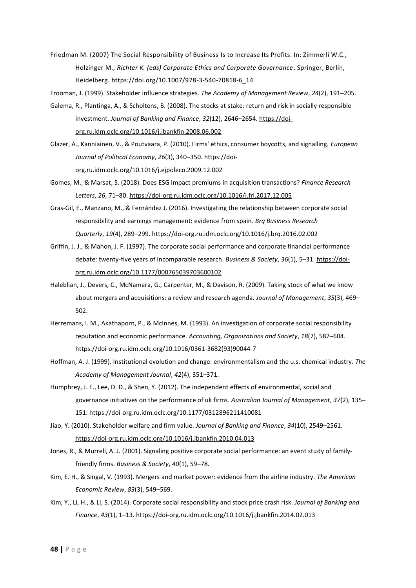Friedman M. (2007) The Social Responsibility of Business Is to Increase Its Profits. In: Zimmerli W.C., Holzinger M., *Richter K. (eds) Corporate Ethics and Corporate Governance*. Springer, Berlin, Heidelberg. https://doi.org/10.1007/978-3-540-70818-6\_14

Frooman, J. (1999). Stakeholder influence strategies. *The Academy of Management Review*, *24*(2), 191–205.

- Galema, R., Plantinga, A., & Scholtens, B. (2008). The stocks at stake: return and risk in socially responsible investment. *Journal of Banking and Finance*, *32*(12), 2646–2654. [https://doi](https://doi-org.ru.idm.oclc.org/10.1016/j.jbankfin.2008.06.002)[org.ru.idm.oclc.org/10.1016/j.jbankfin.2008.06.002](https://doi-org.ru.idm.oclc.org/10.1016/j.jbankfin.2008.06.002)
- Glazer, A., Kanniainen, V., & Poutvaara, P. (2010). Firms' ethics, consumer boycotts, and signalling. *European Journal of Political Economy*, *26*(3), 340–350. https://doiorg.ru.idm.oclc.org/10.1016/j.ejpoleco.2009.12.002

Gomes, M., & Marsat, S. (2018). Does ESG impact premiums in acquisition transactions? *Finance Research Letters*, *26*, 71–80[. https://doi-org.ru.idm.oclc.org/10.1016/j.frl.2017.12.005](https://doi-org.ru.idm.oclc.org/10.1016/j.frl.2017.12.005)

- Gras-Gil, E., Manzano, M., & Fernández J. (2016). Investigating the relationship between corporate social responsibility and earnings management: evidence from spain. *Brq Business Research Quarterly*, *19*(4), 289–299. https://doi-org.ru.idm.oclc.org/10.1016/j.brq.2016.02.002
- Griffin, J. J., & Mahon, J. F. (1997). The corporate social performance and corporate financial performance debate: twenty-five years of incomparable research. *Business & Society*, *36*(1), 5–31. [https://doi](https://doi-org.ru.idm.oclc.org/10.1177/000765039703600102)[org.ru.idm.oclc.org/10.1177/000765039703600102](https://doi-org.ru.idm.oclc.org/10.1177/000765039703600102)
- Haleblian, J., Devers, C., McNamara, G., Carpenter, M., & Davison, R. (2009). Taking stock of what we know about mergers and acquisitions: a review and research agenda. *Journal of Management*, *35*(3), 469– 502.
- Herremans, I. M., Akathaporn, P., & McInnes, M. (1993). An investigation of corporate social responsibility reputation and economic performance. *Accounting, Organizations and Society*, *18*(7), 587–604. https://doi-org.ru.idm.oclc.org/10.1016/0361-3682(93)90044-7
- Hoffman, A. J. (1999). Institutional evolution and change: environmentalism and the u.s. chemical industry. *The Academy of Management Journal*, *42*(4), 351–371.
- Humphrey, J. E., Lee, D. D., & Shen, Y. (2012). The independent effects of environmental, social and governance initiatives on the performance of uk firms. *Australian Journal of Management*, *37*(2), 135– 151.<https://doi-org.ru.idm.oclc.org/10.1177/0312896211410081>
- Jiao, Y. (2010). Stakeholder welfare and firm value. *Journal of Banking and Finance*, *34*(10), 2549–2561. <https://doi-org.ru.idm.oclc.org/10.1016/j.jbankfin.2010.04.013>
- Jones, R., & Murrell, A. J. (2001). Signaling positive corporate social performance: an event study of familyfriendly firms. *Business & Society*, *40*(1), 59–78.
- Kim, E. H., & Singal, V. (1993). Mergers and market power: evidence from the airline industry. *The American Economic Review*, *83*(3), 549–569.
- Kim, Y., Li, H., & Li, S. (2014). Corporate social responsibility and stock price crash risk. *Journal of Banking and Finance*, *43*(1), 1–13. https://doi-org.ru.idm.oclc.org/10.1016/j.jbankfin.2014.02.013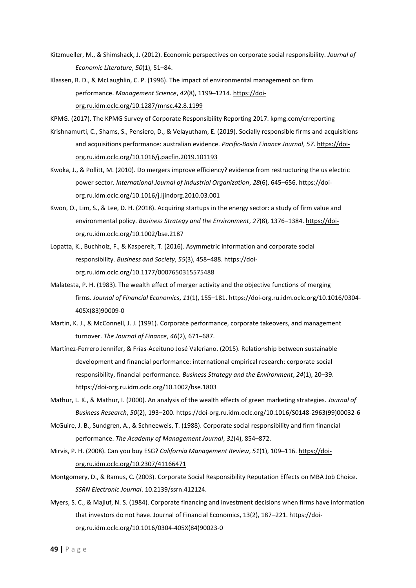- Kitzmueller, M., & Shimshack, J. (2012). Economic perspectives on corporate social responsibility. *Journal of Economic Literature*, *50*(1), 51–84.
- Klassen, R. D., & McLaughlin, C. P. (1996). The impact of environmental management on firm performance. *Management Science*, *42*(8), 1199–1214. [https://doi](https://doi-org.ru.idm.oclc.org/10.1287/mnsc.42.8.1199)[org.ru.idm.oclc.org/10.1287/mnsc.42.8.1199](https://doi-org.ru.idm.oclc.org/10.1287/mnsc.42.8.1199)

KPMG. (2017). The KPMG Survey of Corporate Responsibility Reporting 2017. kpmg.com/crreporting

- Krishnamurti, C., Shams, S., Pensiero, D., & Velayutham, E. (2019). Socially responsible firms and acquisitions and acquisitions performance: australian evidence. *Pacific-Basin Finance Journal*, *57*[. https://doi](https://doi-org.ru.idm.oclc.org/10.1016/j.pacfin.2019.101193)[org.ru.idm.oclc.org/10.1016/j.pacfin.2019.101193](https://doi-org.ru.idm.oclc.org/10.1016/j.pacfin.2019.101193)
- Kwoka, J., & Pollitt, M. (2010). Do mergers improve efficiency? evidence from restructuring the us electric power sector. *International Journal of Industrial Organization*, *28*(6), 645–656. https://doiorg.ru.idm.oclc.org/10.1016/j.ijindorg.2010.03.001
- Kwon, O., Lim, S., & Lee, D. H. (2018). Acquiring startups in the energy sector: a study of firm value and environmental policy. *Business Strategy and the Environment*, *27*(8), 1376–1384. [https://doi](https://doi-org.ru.idm.oclc.org/10.1002/bse.2187)[org.ru.idm.oclc.org/10.1002/bse.2187](https://doi-org.ru.idm.oclc.org/10.1002/bse.2187)
- Lopatta, K., Buchholz, F., & Kaspereit, T. (2016). Asymmetric information and corporate social responsibility. *Business and Society*, *55*(3), 458–488. https://doiorg.ru.idm.oclc.org/10.1177/0007650315575488
- Malatesta, P. H. (1983). The wealth effect of merger activity and the objective functions of merging firms. *Journal of Financial Economics*, *11*(1), 155–181. https://doi-org.ru.idm.oclc.org/10.1016/0304- 405X(83)90009-0
- Martin, K. J., & McConnell, J. J. (1991). Corporate performance, corporate takeovers, and management turnover. *The Journal of Finance*, *46*(2), 671–687.
- Martínez-Ferrero Jennifer, & Frías-Aceituno José Valeriano. (2015). Relationship between sustainable development and financial performance: international empirical research: corporate social responsibility, financial performance. *Business Strategy and the Environment*, *24*(1), 20–39. https://doi-org.ru.idm.oclc.org/10.1002/bse.1803
- Mathur, L. K., & Mathur, I. (2000). An analysis of the wealth effects of green marketing strategies. *Journal of Business Research*, *50*(2), 193–200[. https://doi-org.ru.idm.oclc.org/10.1016/S0148-2963\(99\)00032-6](https://doi-org.ru.idm.oclc.org/10.1016/S0148-2963(99)00032-6)
- McGuire, J. B., Sundgren, A., & Schneeweis, T. (1988). Corporate social responsibility and firm financial performance. *The Academy of Management Journal*, *31*(4), 854–872.
- Mirvis, P. H. (2008). Can you buy ESG? *California Management Review*, *51*(1), 109–116[. https://doi](https://doi-org.ru.idm.oclc.org/10.2307/41166471)[org.ru.idm.oclc.org/10.2307/41166471](https://doi-org.ru.idm.oclc.org/10.2307/41166471)
- Montgomery, D., & Ramus, C. (2003). Corporate Social Responsibility Reputation Effects on MBA Job Choice. *SSRN Electronic Journal*. 10.2139/ssrn.412124.
- Myers, S. C., & Majluf, N. S. (1984). Corporate financing and investment decisions when firms have information that investors do not have. Journal of Financial Economics, 13(2), 187–221. https://doiorg.ru.idm.oclc.org/10.1016/0304-405X(84)90023-0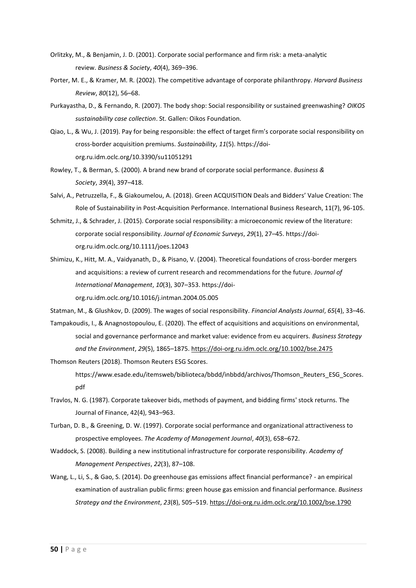- Orlitzky, M., & Benjamin, J. D. (2001). Corporate social performance and firm risk: a meta-analytic review. *Business & Society*, *40*(4), 369–396.
- Porter, M. E., & Kramer, M. R. (2002). The competitive advantage of corporate philanthropy. *Harvard Business Review*, *80*(12), 56–68.
- Purkayastha, D., & Fernando, R. (2007). The body shop: Social responsibility or sustained greenwashing? *OIKOS sustainability case collection*. St. Gallen: Oikos Foundation.
- Qiao, L., & Wu, J. (2019). Pay for being responsible: the effect of target firm's corporate social responsibility on cross-border acquisition premiums. *Sustainability*, *11*(5). https://doiorg.ru.idm.oclc.org/10.3390/su11051291
- Rowley, T., & Berman, S. (2000). A brand new brand of corporate social performance. *Business & Society*, *39*(4), 397–418.
- Salvi, A., Petruzzella, F., & Giakoumelou, A. (2018). Green ACQUISITION Deals and Bidders' Value Creation: The Role of Sustainability in Post-Acquisition Performance. International Business Research, 11(7), 96-105.
- Schmitz, J., & Schrader, J. (2015). Corporate social responsibility: a microeconomic review of the literature: corporate social responsibility. *Journal of Economic Surveys*, *29*(1), 27–45. https://doiorg.ru.idm.oclc.org/10.1111/joes.12043
- Shimizu, K., Hitt, M. A., Vaidyanath, D., & Pisano, V. (2004). Theoretical foundations of cross-border mergers and acquisitions: a review of current research and recommendations for the future. *Journal of International Management*, *10*(3), 307–353. https://doiorg.ru.idm.oclc.org/10.1016/j.intman.2004.05.005

Statman, M., & Glushkov, D. (2009). The wages of social responsibility. *Financial Analysts Journal*, *65*(4), 33–46.

- Tampakoudis, I., & Anagnostopoulou, E. (2020). The effect of acquisitions and acquisitions on environmental, social and governance performance and market value: evidence from eu acquirers. *Business Strategy and the Environment*, *29*(5), 1865–1875.<https://doi-org.ru.idm.oclc.org/10.1002/bse.2475>
- Thomson Reuters (2018). Thomson Reuters ESG Scores.
	- https://www.esade.edu/itemsweb/biblioteca/bbdd/inbbdd/archivos/Thomson\_Reuters\_ESG\_Scores. pdf
- Travlos, N. G. (1987). Corporate takeover bids, methods of payment, and bidding firms' stock returns. The Journal of Finance, 42(4), 943–963.
- Turban, D. B., & Greening, D. W. (1997). Corporate social performance and organizational attractiveness to prospective employees. *The Academy of Management Journal*, *40*(3), 658–672.
- Waddock, S. (2008). Building a new institutional infrastructure for corporate responsibility. *Academy of Management Perspectives*, *22*(3), 87–108.
- Wang, L., Li, S., & Gao, S. (2014). Do greenhouse gas emissions affect financial performance? an empirical examination of australian public firms: green house gas emission and financial performance. *Business Strategy and the Environment*, *23*(8), 505–519.<https://doi-org.ru.idm.oclc.org/10.1002/bse.1790>